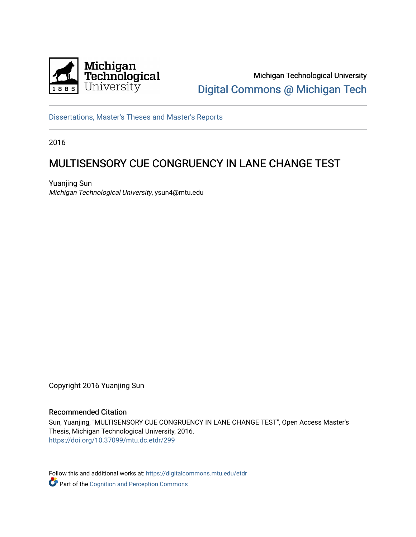

Michigan Technological University [Digital Commons @ Michigan Tech](https://digitalcommons.mtu.edu/) 

[Dissertations, Master's Theses and Master's Reports](https://digitalcommons.mtu.edu/etdr)

2016

# MULTISENSORY CUE CONGRUENCY IN LANE CHANGE TEST

Yuanjing Sun Michigan Technological University, ysun4@mtu.edu

Copyright 2016 Yuanjing Sun

#### Recommended Citation

Sun, Yuanjing, "MULTISENSORY CUE CONGRUENCY IN LANE CHANGE TEST", Open Access Master's Thesis, Michigan Technological University, 2016. <https://doi.org/10.37099/mtu.dc.etdr/299>

Follow this and additional works at: [https://digitalcommons.mtu.edu/etdr](https://digitalcommons.mtu.edu/etdr?utm_source=digitalcommons.mtu.edu%2Fetdr%2F299&utm_medium=PDF&utm_campaign=PDFCoverPages)  Part of the Cognition and Perception Commons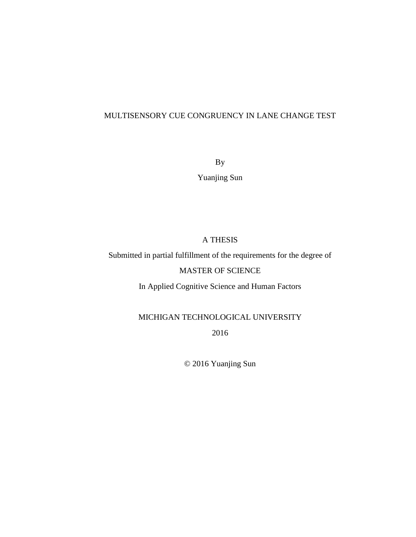## MULTISENSORY CUE CONGRUENCY IN LANE CHANGE TEST

By

Yuanjing Sun

# A THESIS

Submitted in partial fulfillment of the requirements for the degree of

# MASTER OF SCIENCE

In Applied Cognitive Science and Human Factors

# MICHIGAN TECHNOLOGICAL UNIVERSITY

2016

© 2016 Yuanjing Sun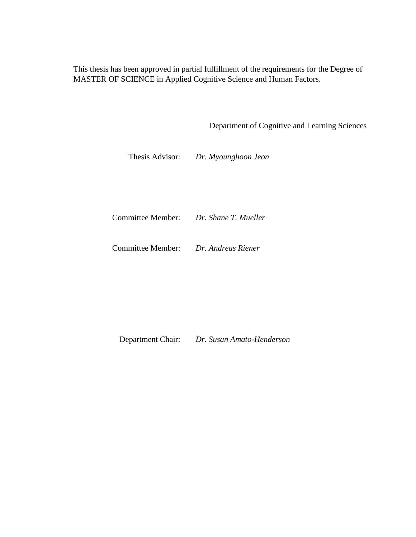This thesis has been approved in partial fulfillment of the requirements for the Degree of MASTER OF SCIENCE in Applied Cognitive Science and Human Factors.

Department of Cognitive and Learning Sciences

Thesis Advisor: *Dr. Myounghoon Jeon* 

Committee Member: *Dr. Shane T. Mueller* 

Committee Member: *Dr. Andreas Riener* 

Department Chair: *Dr. Susan Amato-Henderson*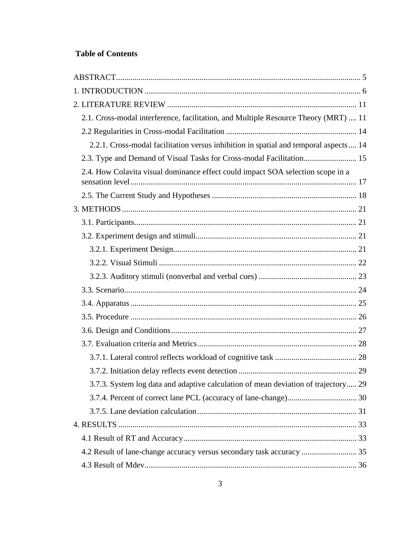# **Table of Contents**

| 2.1. Cross-modal interference, facilitation, and Multiple Resource Theory (MRT)  11  |  |
|--------------------------------------------------------------------------------------|--|
|                                                                                      |  |
| 2.2.1. Cross-modal facilitation versus inhibition in spatial and temporal aspects 14 |  |
| 2.3. Type and Demand of Visual Tasks for Cross-modal Facilitation 15                 |  |
| 2.4. How Colavita visual dominance effect could impact SOA selection scope in a      |  |
|                                                                                      |  |
|                                                                                      |  |
|                                                                                      |  |
|                                                                                      |  |
|                                                                                      |  |
|                                                                                      |  |
|                                                                                      |  |
|                                                                                      |  |
|                                                                                      |  |
|                                                                                      |  |
|                                                                                      |  |
|                                                                                      |  |
|                                                                                      |  |
|                                                                                      |  |
| 3.7.3. System log data and adaptive calculation of mean deviation of trajectory 29   |  |
|                                                                                      |  |
|                                                                                      |  |
|                                                                                      |  |
|                                                                                      |  |
| 4.2 Result of lane-change accuracy versus secondary task accuracy  35                |  |
|                                                                                      |  |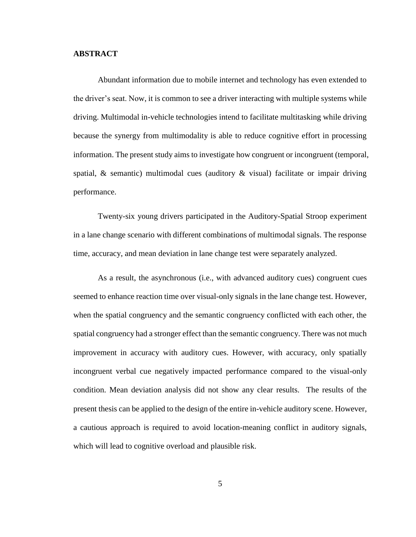#### <span id="page-5-0"></span>**ABSTRACT**

Abundant information due to mobile internet and technology has even extended to the driver's seat. Now, it is common to see a driver interacting with multiple systems while driving. Multimodal in-vehicle technologies intend to facilitate multitasking while driving because the synergy from multimodality is able to reduce cognitive effort in processing information. The present study aims to investigate how congruent or incongruent (temporal, spatial,  $\&$  semantic) multimodal cues (auditory  $\&$  visual) facilitate or impair driving performance.

Twenty-six young drivers participated in the Auditory-Spatial Stroop experiment in a lane change scenario with different combinations of multimodal signals. The response time, accuracy, and mean deviation in lane change test were separately analyzed.

As a result, the asynchronous (i.e., with advanced auditory cues) congruent cues seemed to enhance reaction time over visual-only signals in the lane change test. However, when the spatial congruency and the semantic congruency conflicted with each other, the spatial congruency had a stronger effect than the semantic congruency. There was not much improvement in accuracy with auditory cues. However, with accuracy, only spatially incongruent verbal cue negatively impacted performance compared to the visual-only condition. Mean deviation analysis did not show any clear results. The results of the present thesis can be applied to the design of the entire in-vehicle auditory scene. However, a cautious approach is required to avoid location-meaning conflict in auditory signals, which will lead to cognitive overload and plausible risk.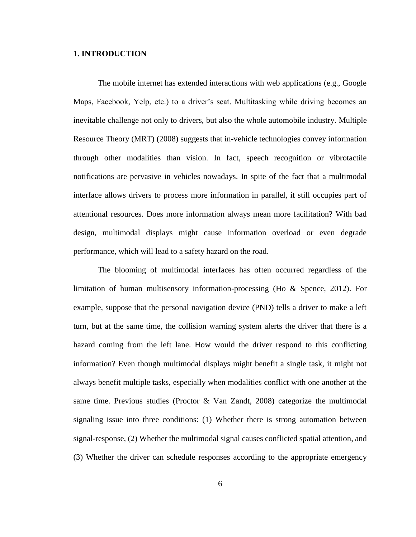#### <span id="page-6-0"></span>**1. INTRODUCTION**

The mobile internet has extended interactions with web applications (e.g., Google Maps, Facebook, Yelp, etc.) to a driver's seat. Multitasking while driving becomes an inevitable challenge not only to drivers, but also the whole automobile industry. Multiple Resource Theory (MRT) (2008) suggests that in-vehicle technologies convey information through other modalities than vision. In fact, speech recognition or vibrotactile notifications are pervasive in vehicles nowadays. In spite of the fact that a multimodal interface allows drivers to process more information in parallel, it still occupies part of attentional resources. Does more information always mean more facilitation? With bad design, multimodal displays might cause information overload or even degrade performance, which will lead to a safety hazard on the road.

The blooming of multimodal interfaces has often occurred regardless of the limitation of human multisensory information-processing (Ho & Spence, 2012). For example, suppose that the personal navigation device (PND) tells a driver to make a left turn, but at the same time, the collision warning system alerts the driver that there is a hazard coming from the left lane. How would the driver respond to this conflicting information? Even though multimodal displays might benefit a single task, it might not always benefit multiple tasks, especially when modalities conflict with one another at the same time. Previous studies (Proctor & Van Zandt, 2008) categorize the multimodal signaling issue into three conditions: (1) Whether there is strong automation between signal-response, (2) Whether the multimodal signal causes conflicted spatial attention, and (3) Whether the driver can schedule responses according to the appropriate emergency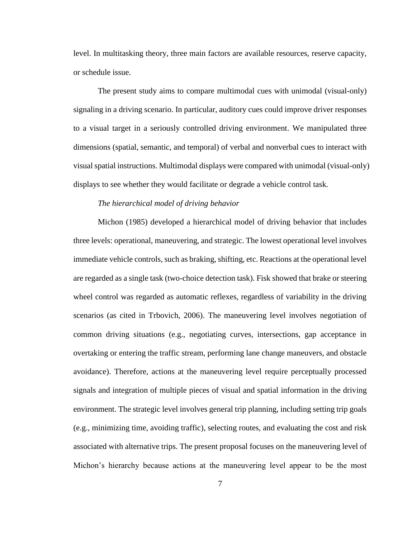level. In multitasking theory, three main factors are available resources, reserve capacity, or schedule issue.

The present study aims to compare multimodal cues with unimodal (visual-only) signaling in a driving scenario. In particular, auditory cues could improve driver responses to a visual target in a seriously controlled driving environment. We manipulated three dimensions (spatial, semantic, and temporal) of verbal and nonverbal cues to interact with visual spatial instructions. Multimodal displays were compared with unimodal (visual-only) displays to see whether they would facilitate or degrade a vehicle control task.

#### *The hierarchical model of driving behavior*

Michon (1985) developed a hierarchical model of driving behavior that includes three levels: operational, maneuvering, and strategic. The lowest operational level involves immediate vehicle controls, such as braking, shifting, etc. Reactions at the operational level are regarded as a single task (two-choice detection task). Fisk showed that brake or steering wheel control was regarded as automatic reflexes, regardless of variability in the driving scenarios (as cited in Trbovich, 2006). The maneuvering level involves negotiation of common driving situations (e.g., negotiating curves, intersections, gap acceptance in overtaking or entering the traffic stream, performing lane change maneuvers, and obstacle avoidance). Therefore, actions at the maneuvering level require perceptually processed signals and integration of multiple pieces of visual and spatial information in the driving environment. The strategic level involves general trip planning, including setting trip goals (e.g., minimizing time, avoiding traffic), selecting routes, and evaluating the cost and risk associated with alternative trips. The present proposal focuses on the maneuvering level of Michon's hierarchy because actions at the maneuvering level appear to be the most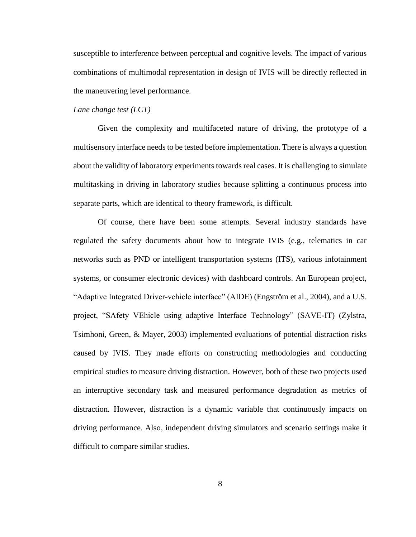susceptible to interference between perceptual and cognitive levels. The impact of various combinations of multimodal representation in design of IVIS will be directly reflected in the maneuvering level performance.

#### *Lane change test (LCT)*

Given the complexity and multifaceted nature of driving, the prototype of a multisensory interface needs to be tested before implementation. There is always a question about the validity of laboratory experiments towards real cases. It is challenging to simulate multitasking in driving in laboratory studies because splitting a continuous process into separate parts, which are identical to theory framework, is difficult.

Of course, there have been some attempts. Several industry standards have regulated the safety documents about how to integrate IVIS (e.g., telematics in car networks such as PND or intelligent transportation systems (ITS), various infotainment systems, or consumer electronic devices) with dashboard controls. An European project, "Adaptive Integrated Driver-vehicle interface" (AIDE) (Engström et al., 2004), and a U.S. project, "SAfety VEhicle using adaptive Interface Technology" (SAVE-IT) (Zylstra, Tsimhoni, Green, & Mayer, 2003) implemented evaluations of potential distraction risks caused by IVIS. They made efforts on constructing methodologies and conducting empirical studies to measure driving distraction. However, both of these two projects used an interruptive secondary task and measured performance degradation as metrics of distraction. However, distraction is a dynamic variable that continuously impacts on driving performance. Also, independent driving simulators and scenario settings make it difficult to compare similar studies.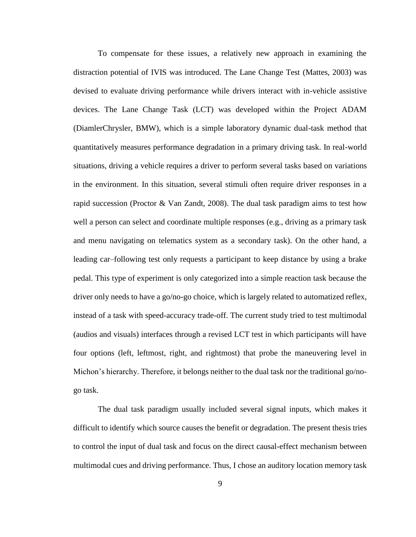To compensate for these issues, a relatively new approach in examining the distraction potential of IVIS was introduced. The Lane Change Test (Mattes, 2003) was devised to evaluate driving performance while drivers interact with in-vehicle assistive devices. The Lane Change Task (LCT) was developed within the Project ADAM (DiamlerChrysler, BMW), which is a simple laboratory dynamic dual-task method that quantitatively measures performance degradation in a primary driving task. In real-world situations, driving a vehicle requires a driver to perform several tasks based on variations in the environment. In this situation, several stimuli often require driver responses in a rapid succession (Proctor  $&$  Van Zandt, 2008). The dual task paradigm aims to test how well a person can select and coordinate multiple responses (e.g., driving as a primary task and menu navigating on telematics system as a secondary task). On the other hand, a leading car–following test only requests a participant to keep distance by using a brake pedal. This type of experiment is only categorized into a simple reaction task because the driver only needs to have a go/no-go choice, which is largely related to automatized reflex, instead of a task with speed-accuracy trade-off. The current study tried to test multimodal (audios and visuals) interfaces through a revised LCT test in which participants will have four options (left, leftmost, right, and rightmost) that probe the maneuvering level in Michon's hierarchy. Therefore, it belongs neither to the dual task nor the traditional go/nogo task.

The dual task paradigm usually included several signal inputs, which makes it difficult to identify which source causes the benefit or degradation. The present thesis tries to control the input of dual task and focus on the direct causal-effect mechanism between multimodal cues and driving performance. Thus, I chose an auditory location memory task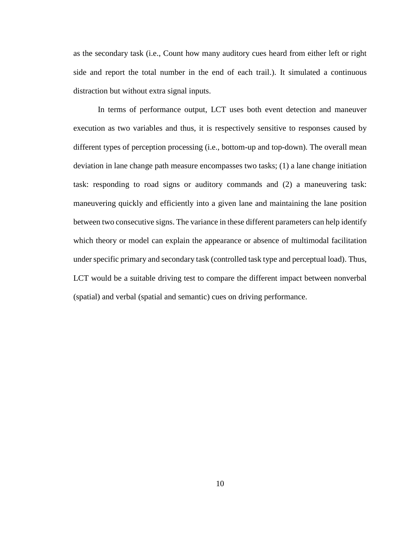as the secondary task (i.e., Count how many auditory cues heard from either left or right side and report the total number in the end of each trail.). It simulated a continuous distraction but without extra signal inputs.

In terms of performance output, LCT uses both event detection and maneuver execution as two variables and thus, it is respectively sensitive to responses caused by different types of perception processing (i.e., bottom-up and top-down). The overall mean deviation in lane change path measure encompasses two tasks; (1) a lane change initiation task: responding to road signs or auditory commands and (2) a maneuvering task: maneuvering quickly and efficiently into a given lane and maintaining the lane position between two consecutive signs. The variance in these different parameters can help identify which theory or model can explain the appearance or absence of multimodal facilitation under specific primary and secondary task (controlled task type and perceptual load). Thus, LCT would be a suitable driving test to compare the different impact between nonverbal (spatial) and verbal (spatial and semantic) cues on driving performance.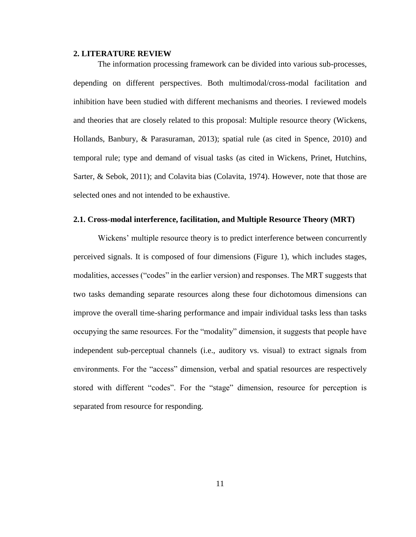#### <span id="page-11-0"></span>**2. LITERATURE REVIEW**

The information processing framework can be divided into various sub-processes, depending on different perspectives. Both multimodal/cross-modal facilitation and inhibition have been studied with different mechanisms and theories. I reviewed models and theories that are closely related to this proposal: Multiple resource theory (Wickens, Hollands, Banbury, & Parasuraman, 2013); spatial rule (as cited in Spence, 2010) and temporal rule; type and demand of visual tasks (as cited in Wickens, Prinet, Hutchins, Sarter, & Sebok, 2011); and Colavita bias (Colavita, 1974). However, note that those are selected ones and not intended to be exhaustive.

#### <span id="page-11-1"></span>**2.1. Cross-modal interference, facilitation, and Multiple Resource Theory (MRT)**

Wickens' multiple resource theory is to predict interference between concurrently perceived signals. It is composed of four dimensions (Figure 1), which includes stages, modalities, accesses ("codes" in the earlier version) and responses. The MRT suggests that two tasks demanding separate resources along these four dichotomous dimensions can improve the overall time-sharing performance and impair individual tasks less than tasks occupying the same resources. For the "modality" dimension, it suggests that people have independent sub-perceptual channels (i.e., auditory vs. visual) to extract signals from environments. For the "access" dimension, verbal and spatial resources are respectively stored with different "codes". For the "stage" dimension, resource for perception is separated from resource for responding.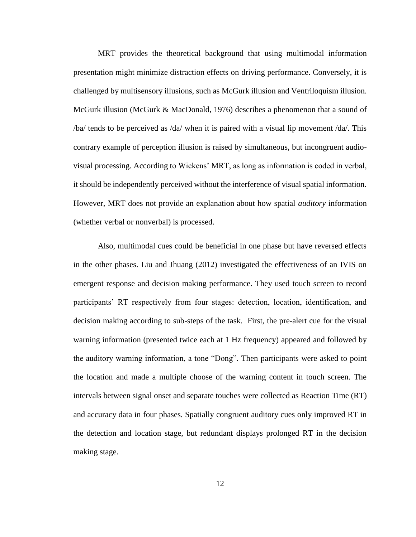MRT provides the theoretical background that using multimodal information presentation might minimize distraction effects on driving performance. Conversely, it is challenged by multisensory illusions, such as McGurk illusion and Ventriloquism illusion. McGurk illusion (McGurk & MacDonald, 1976) describes a phenomenon that a sound of /ba/ tends to be perceived as /da/ when it is paired with a visual lip movement /da/. This contrary example of perception illusion is raised by simultaneous, but incongruent audiovisual processing. According to Wickens' MRT, as long as information is coded in verbal, it should be independently perceived without the interference of visual spatial information. However, MRT does not provide an explanation about how spatial *auditory* information (whether verbal or nonverbal) is processed.

Also, multimodal cues could be beneficial in one phase but have reversed effects in the other phases. Liu and Jhuang (2012) investigated the effectiveness of an IVIS on emergent response and decision making performance. They used touch screen to record participants' RT respectively from four stages: detection, location, identification, and decision making according to sub-steps of the task. First, the pre-alert cue for the visual warning information (presented twice each at 1 Hz frequency) appeared and followed by the auditory warning information, a tone "Dong". Then participants were asked to point the location and made a multiple choose of the warning content in touch screen. The intervals between signal onset and separate touches were collected as Reaction Time (RT) and accuracy data in four phases. Spatially congruent auditory cues only improved RT in the detection and location stage, but redundant displays prolonged RT in the decision making stage.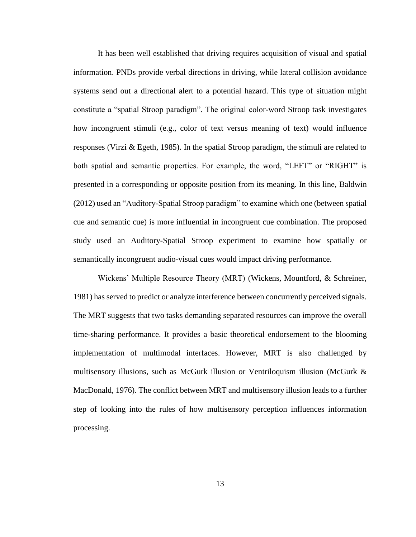It has been well established that driving requires acquisition of visual and spatial information. PNDs provide verbal directions in driving, while lateral collision avoidance systems send out a directional alert to a potential hazard. This type of situation might constitute a "spatial Stroop paradigm". The original color-word Stroop task investigates how incongruent stimuli (e.g., color of text versus meaning of text) would influence responses (Virzi & Egeth, 1985). In the spatial Stroop paradigm, the stimuli are related to both spatial and semantic properties. For example, the word, "LEFT" or "RIGHT" is presented in a corresponding or opposite position from its meaning. In this line, Baldwin (2012) used an "Auditory-Spatial Stroop paradigm" to examine which one (between spatial cue and semantic cue) is more influential in incongruent cue combination. The proposed study used an Auditory-Spatial Stroop experiment to examine how spatially or semantically incongruent audio-visual cues would impact driving performance.

Wickens' Multiple Resource Theory (MRT) (Wickens, Mountford, & Schreiner, 1981) has served to predict or analyze interference between concurrently perceived signals. The MRT suggests that two tasks demanding separated resources can improve the overall time-sharing performance. It provides a basic theoretical endorsement to the blooming implementation of multimodal interfaces. However, MRT is also challenged by multisensory illusions, such as McGurk illusion or Ventriloquism illusion (McGurk & MacDonald, 1976). The conflict between MRT and multisensory illusion leads to a further step of looking into the rules of how multisensory perception influences information processing.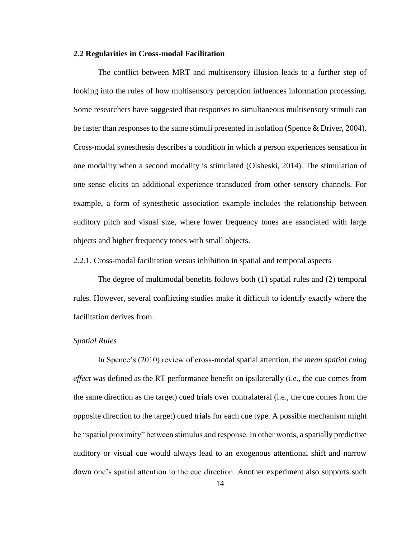#### <span id="page-14-0"></span>**2.2 Regularities in Cross-modal Facilitation**

The conflict between MRT and multisensory illusion leads to a further step of looking into the rules of how multisensory perception influences information processing. Some researchers have suggested that responses to simultaneous multisensory stimuli can be faster than responses to the same stimuli presented in isolation (Spence & Driver, 2004). Cross-modal synesthesia describes a condition in which a person experiences sensation in one modality when a second modality is stimulated (Olsheski, 2014). The stimulation of one sense elicits an additional experience transduced from other sensory channels. For example, a form of synesthetic association example includes the relationship between auditory pitch and visual size, where lower frequency tones are associated with large objects and higher frequency tones with small objects.

#### <span id="page-14-1"></span>2.2.1. Cross-modal facilitation versus inhibition in spatial and temporal aspects

The degree of multimodal benefits follows both (1) spatial rules and (2) temporal rules. However, several conflicting studies make it difficult to identify exactly where the facilitation derives from.

#### *Spatial Rules*

In Spence's (2010) review of cross-modal spatial attention, the *mean spatial cuing effect* was defined as the RT performance benefit on ipsilaterally (i.e., the cue comes from the same direction as the target) cued trials over contralateral (i.e., the cue comes from the opposite direction to the target) cued trials for each cue type. A possible mechanism might be "spatial proximity" between stimulus and response. In other words, a spatially predictive auditory or visual cue would always lead to an exogenous attentional shift and narrow down one's spatial attention to the cue direction. Another experiment also supports such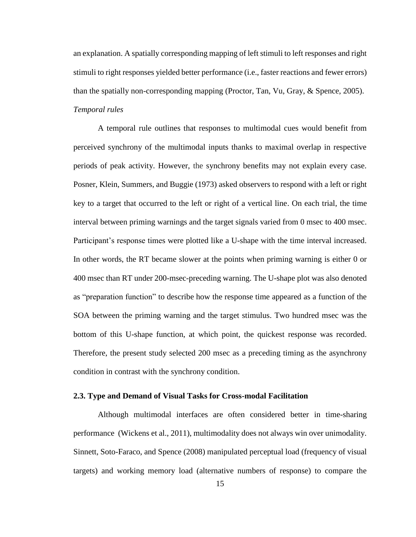an explanation. A spatially corresponding mapping of left stimuli to left responses and right stimuli to right responses yielded better performance (i.e., faster reactions and fewer errors) than the spatially non-corresponding mapping (Proctor, Tan, Vu, Gray, & Spence, 2005). *Temporal rules*

A temporal rule outlines that responses to multimodal cues would benefit from perceived synchrony of the multimodal inputs thanks to maximal overlap in respective periods of peak activity. However, the synchrony benefits may not explain every case. Posner, Klein, Summers, and Buggie (1973) asked observers to respond with a left or right key to a target that occurred to the left or right of a vertical line. On each trial, the time interval between priming warnings and the target signals varied from 0 msec to 400 msec. Participant's response times were plotted like a U-shape with the time interval increased. In other words, the RT became slower at the points when priming warning is either 0 or 400 msec than RT under 200-msec-preceding warning. The U-shape plot was also denoted as "preparation function" to describe how the response time appeared as a function of the SOA between the priming warning and the target stimulus. Two hundred msec was the bottom of this U-shape function, at which point, the quickest response was recorded. Therefore, the present study selected 200 msec as a preceding timing as the asynchrony condition in contrast with the synchrony condition.

#### <span id="page-15-0"></span>**2.3. Type and Demand of Visual Tasks for Cross-modal Facilitation**

Although multimodal interfaces are often considered better in time-sharing performance (Wickens et al., 2011), multimodality does not always win over unimodality. Sinnett, Soto-Faraco, and Spence (2008) manipulated perceptual load (frequency of visual targets) and working memory load (alternative numbers of response) to compare the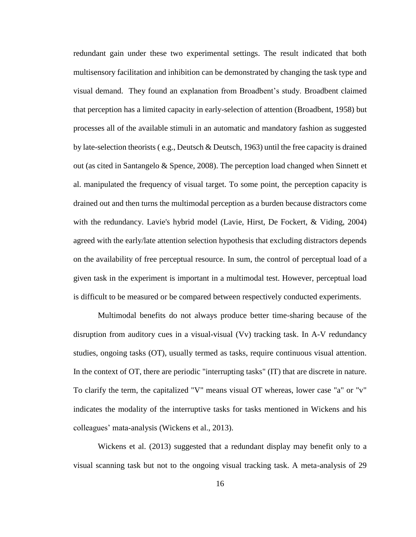redundant gain under these two experimental settings. The result indicated that both multisensory facilitation and inhibition can be demonstrated by changing the task type and visual demand. They found an explanation from Broadbent's study. Broadbent claimed that perception has a limited capacity in early-selection of attention (Broadbent, 1958) but processes all of the available stimuli in an automatic and mandatory fashion as suggested by late-selection theorists (e.g., Deutsch & Deutsch, 1963) until the free capacity is drained out (as cited in Santangelo & Spence, 2008). The perception load changed when Sinnett et al. manipulated the frequency of visual target. To some point, the perception capacity is drained out and then turns the multimodal perception as a burden because distractors come with the redundancy. Lavie's hybrid model (Lavie, Hirst, De Fockert, & Viding, 2004) agreed with the early/late attention selection hypothesis that excluding distractors depends on the availability of free perceptual resource. In sum, the control of perceptual load of a given task in the experiment is important in a multimodal test. However, perceptual load is difficult to be measured or be compared between respectively conducted experiments.

Multimodal benefits do not always produce better time-sharing because of the disruption from auditory cues in a visual-visual (Vv) tracking task. In A-V redundancy studies, ongoing tasks (OT), usually termed as tasks, require continuous visual attention. In the context of OT, there are periodic "interrupting tasks" (IT) that are discrete in nature. To clarify the term, the capitalized "V" means visual OT whereas, lower case "a" or "v" indicates the modality of the interruptive tasks for tasks mentioned in Wickens and his colleagues' mata-analysis (Wickens et al., 2013).

Wickens et al. (2013) suggested that a redundant display may benefit only to a visual scanning task but not to the ongoing visual tracking task. A meta-analysis of 29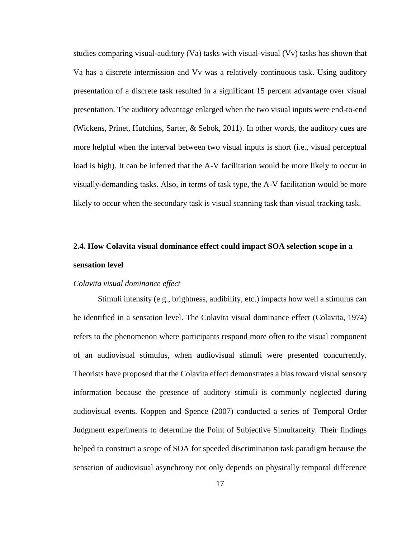studies comparing visual-auditory (Va) tasks with visual-visual (Vv) tasks has shown that Va has a discrete intermission and Vv was a relatively continuous task. Using auditory presentation of a discrete task resulted in a significant 15 percent advantage over visual presentation. The auditory advantage enlarged when the two visual inputs were end-to-end (Wickens, Prinet, Hutchins, Sarter, & Sebok, 2011). In other words, the auditory cues are more helpful when the interval between two visual inputs is short (i.e., visual perceptual load is high). It can be inferred that the A-V facilitation would be more likely to occur in visually-demanding tasks. Also, in terms of task type, the A-V facilitation would be more likely to occur when the secondary task is visual scanning task than visual tracking task.

# <span id="page-17-0"></span>**2.4. How Colavita visual dominance effect could impact SOA selection scope in a sensation level**

#### *Colavita visual dominance effect*

Stimuli intensity (e.g., brightness, audibility, etc.) impacts how well a stimulus can be identified in a sensation level. The Colavita visual dominance effect (Colavita, 1974) refers to the phenomenon where participants respond more often to the visual component of an audiovisual stimulus, when audiovisual stimuli were presented concurrently. Theorists have proposed that the Colavita effect demonstrates a bias toward visual sensory information because the presence of auditory stimuli is commonly neglected during audiovisual events. Koppen and Spence (2007) conducted a series of Temporal Order Judgment experiments to determine the Point of Subjective Simultaneity. Their findings helped to construct a scope of SOA for speeded discrimination task paradigm because the sensation of audiovisual asynchrony not only depends on physically temporal difference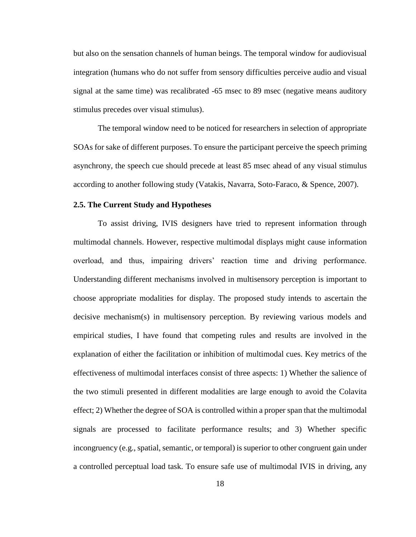but also on the sensation channels of human beings. The temporal window for audiovisual integration (humans who do not suffer from sensory difficulties perceive audio and visual signal at the same time) was recalibrated -65 msec to 89 msec (negative means auditory stimulus precedes over visual stimulus).

The temporal window need to be noticed for researchers in selection of appropriate SOAs for sake of different purposes. To ensure the participant perceive the speech priming asynchrony, the speech cue should precede at least 85 msec ahead of any visual stimulus according to another following study (Vatakis, Navarra, Soto-Faraco, & Spence, 2007).

#### <span id="page-18-0"></span>**2.5. The Current Study and Hypotheses**

To assist driving, IVIS designers have tried to represent information through multimodal channels. However, respective multimodal displays might cause information overload, and thus, impairing drivers' reaction time and driving performance. Understanding different mechanisms involved in multisensory perception is important to choose appropriate modalities for display. The proposed study intends to ascertain the decisive mechanism(s) in multisensory perception. By reviewing various models and empirical studies, I have found that competing rules and results are involved in the explanation of either the facilitation or inhibition of multimodal cues. Key metrics of the effectiveness of multimodal interfaces consist of three aspects: 1) Whether the salience of the two stimuli presented in different modalities are large enough to avoid the Colavita effect; 2) Whether the degree of SOA is controlled within a proper span that the multimodal signals are processed to facilitate performance results; and 3) Whether specific incongruency (e.g., spatial, semantic, or temporal) is superior to other congruent gain under a controlled perceptual load task. To ensure safe use of multimodal IVIS in driving, any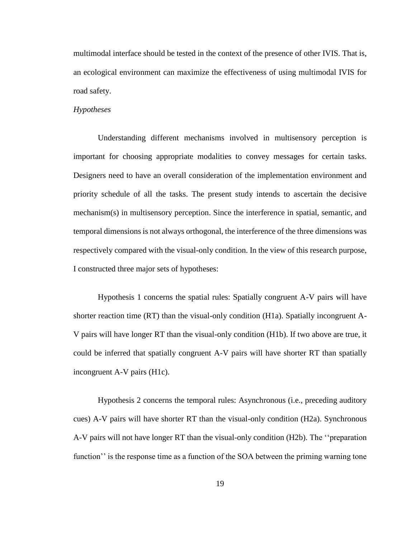multimodal interface should be tested in the context of the presence of other IVIS. That is, an ecological environment can maximize the effectiveness of using multimodal IVIS for road safety.

#### *Hypotheses*

Understanding different mechanisms involved in multisensory perception is important for choosing appropriate modalities to convey messages for certain tasks. Designers need to have an overall consideration of the implementation environment and priority schedule of all the tasks. The present study intends to ascertain the decisive mechanism(s) in multisensory perception. Since the interference in spatial, semantic, and temporal dimensions is not always orthogonal, the interference of the three dimensions was respectively compared with the visual-only condition. In the view of this research purpose, I constructed three major sets of hypotheses:

Hypothesis 1 concerns the spatial rules: Spatially congruent A-V pairs will have shorter reaction time (RT) than the visual-only condition (H1a). Spatially incongruent A-V pairs will have longer RT than the visual-only condition (H1b). If two above are true, it could be inferred that spatially congruent A-V pairs will have shorter RT than spatially incongruent A-V pairs (H1c).

Hypothesis 2 concerns the temporal rules: Asynchronous (i.e., preceding auditory cues) A-V pairs will have shorter RT than the visual-only condition (H2a). Synchronous A-V pairs will not have longer RT than the visual-only condition (H2b). The ''preparation function'' is the response time as a function of the SOA between the priming warning tone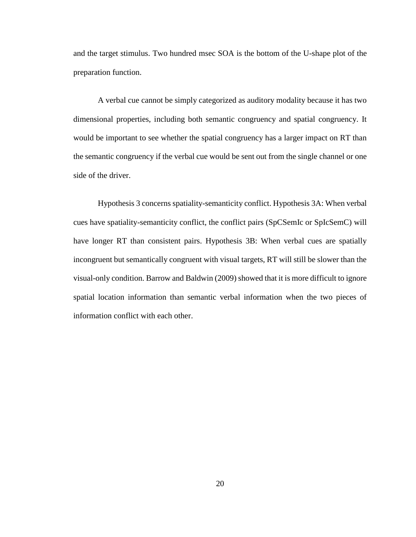and the target stimulus. Two hundred msec SOA is the bottom of the U-shape plot of the preparation function.

A verbal cue cannot be simply categorized as auditory modality because it has two dimensional properties, including both semantic congruency and spatial congruency. It would be important to see whether the spatial congruency has a larger impact on RT than the semantic congruency if the verbal cue would be sent out from the single channel or one side of the driver.

Hypothesis 3 concerns spatiality-semanticity conflict. Hypothesis 3A: When verbal cues have spatiality-semanticity conflict, the conflict pairs (SpCSemIc or SpIcSemC) will have longer RT than consistent pairs. Hypothesis 3B: When verbal cues are spatially incongruent but semantically congruent with visual targets, RT will still be slower than the visual-only condition. Barrow and Baldwin (2009) showed that it is more difficult to ignore spatial location information than semantic verbal information when the two pieces of information conflict with each other.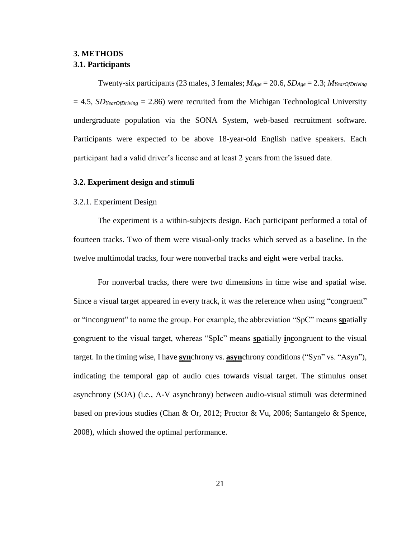# <span id="page-21-1"></span><span id="page-21-0"></span>**3. METHODS 3.1. Participants**

Twenty-six participants (23 males, 3 females; *MAge* = 20.6, *SDAge* = 2.3; *MYearOfDriving*  $= 4.5$ , *SD*<sub>*YearOfDriving*  $= 2.86$ ) were recruited from the Michigan Technological University</sub> undergraduate population via the SONA System, web-based recruitment software. Participants were expected to be above 18-year-old English native speakers. Each participant had a valid driver's license and at least 2 years from the issued date.

#### <span id="page-21-2"></span>**3.2. Experiment design and stimuli**

#### <span id="page-21-3"></span>3.2.1. Experiment Design

The experiment is a within-subjects design. Each participant performed a total of fourteen tracks. Two of them were visual-only tracks which served as a baseline. In the twelve multimodal tracks, four were nonverbal tracks and eight were verbal tracks.

For nonverbal tracks, there were two dimensions in time wise and spatial wise. Since a visual target appeared in every track, it was the reference when using "congruent" or "incongruent" to name the group. For example, the abbreviation "SpC" means **sp**atially **c**ongruent to the visual target, whereas "SpIc" means **sp**atially **i**n**c**ongruent to the visual target. In the timing wise, I have **syn**chrony vs. **asyn**chrony conditions ("Syn" vs. "Asyn"), indicating the temporal gap of audio cues towards visual target. The stimulus onset asynchrony (SOA) (i.e., A-V asynchrony) between audio-visual stimuli was determined based on previous studies (Chan & Or, 2012; Proctor & Vu, 2006; Santangelo & Spence, 2008), which showed the optimal performance.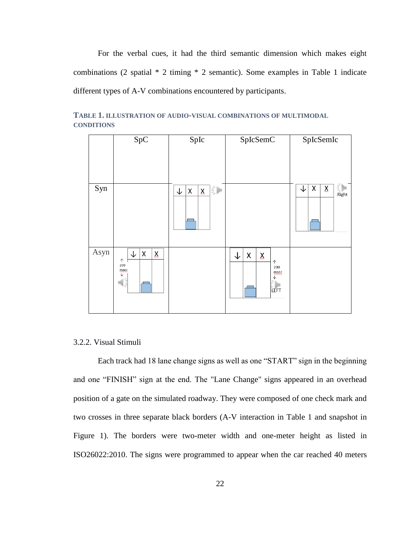For the verbal cues, it had the third semantic dimension which makes eight combinations (2 spatial \* 2 timing \* 2 semantic). Some examples in Table 1 indicate different types of A-V combinations encountered by participants.



**TABLE 1. ILLUSTRATION OF AUDIO-VISUAL COMBINATIONS OF MULTIMODAL CONDITIONS**

#### <span id="page-22-0"></span>3.2.2. Visual Stimuli

Each track had 18 lane change signs as well as one "START" sign in the beginning and one "FINISH" sign at the end. The "Lane Change" signs appeared in an overhead position of a gate on the simulated roadway. They were composed of one check mark and two crosses in three separate black borders (A-V interaction in Table 1 and snapshot in Figure 1). The borders were two-meter width and one-meter height as listed in ISO26022:2010. The signs were programmed to appear when the car reached 40 meters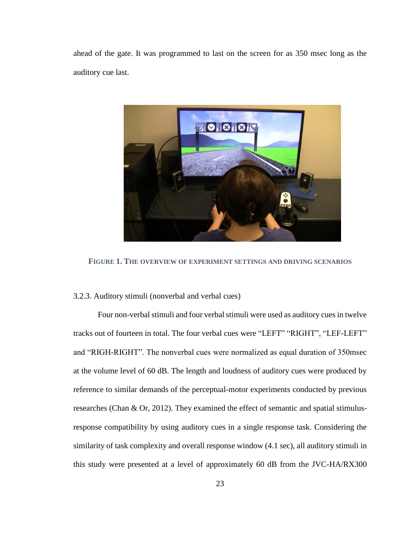ahead of the gate. It was programmed to last on the screen for as 350 msec long as the auditory cue last.



**FIGURE 1. THE OVERVIEW OF EXPERIMENT SETTINGS AND DRIVING SCENARIOS**

### <span id="page-23-0"></span>3.2.3. Auditory stimuli (nonverbal and verbal cues)

Four non-verbal stimuli and four verbal stimuli were used as auditory cues in twelve tracks out of fourteen in total. The four verbal cues were "LEFT" "RIGHT", "LEF-LEFT" and "RIGH-RIGHT". The nonverbal cues were normalized as equal duration of 350msec at the volume level of 60 dB. The length and loudness of auditory cues were produced by reference to similar demands of the perceptual-motor experiments conducted by previous researches (Chan & Or, 2012). They examined the effect of semantic and spatial stimulusresponse compatibility by using auditory cues in a single response task. Considering the similarity of task complexity and overall response window (4.1 sec), all auditory stimuli in this study were presented at a level of approximately 60 dB from the JVC-HA/RX300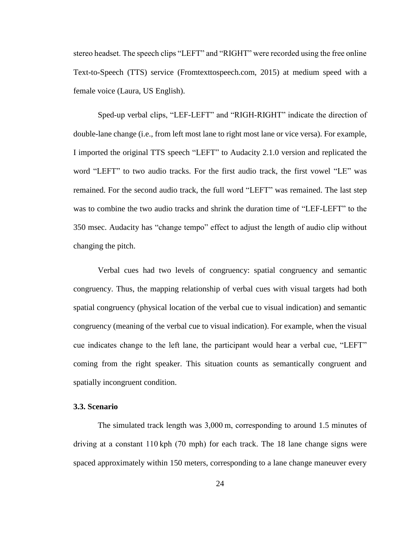stereo headset. The speech clips "LEFT" and "RIGHT" were recorded using the free online Text-to-Speech (TTS) service (Fromtexttospeech.com, 2015) at medium speed with a female voice (Laura, US English).

Sped-up verbal clips, "LEF-LEFT" and "RIGH-RIGHT" indicate the direction of double-lane change (i.e., from left most lane to right most lane or vice versa). For example, I imported the original TTS speech "LEFT" to Audacity 2.1.0 version and replicated the word "LEFT" to two audio tracks. For the first audio track, the first vowel "LE" was remained. For the second audio track, the full word "LEFT" was remained. The last step was to combine the two audio tracks and shrink the duration time of "LEF-LEFT" to the 350 msec. Audacity has "change tempo" effect to adjust the length of audio clip without changing the pitch.

Verbal cues had two levels of congruency: spatial congruency and semantic congruency. Thus, the mapping relationship of verbal cues with visual targets had both spatial congruency (physical location of the verbal cue to visual indication) and semantic congruency (meaning of the verbal cue to visual indication). For example, when the visual cue indicates change to the left lane, the participant would hear a verbal cue, "LEFT" coming from the right speaker. This situation counts as semantically congruent and spatially incongruent condition.

#### <span id="page-24-0"></span>**3.3. Scenario**

The simulated track length was 3,000 m, corresponding to around 1.5 minutes of driving at a constant 110 kph (70 mph) for each track. The 18 lane change signs were spaced approximately within 150 meters, corresponding to a lane change maneuver every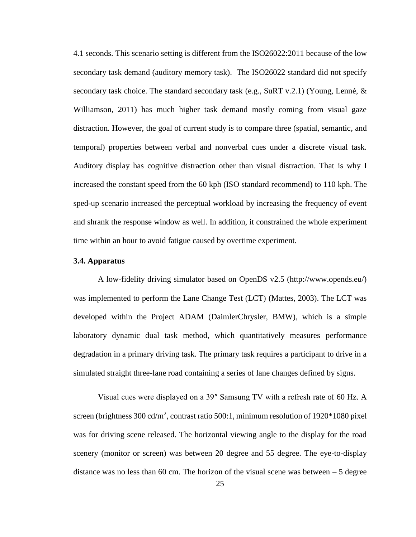4.1 seconds. This scenario setting is different from the ISO26022:2011 because of the low secondary task demand (auditory memory task). The ISO26022 standard did not specify secondary task choice. The standard secondary task (e.g., SuRT v.2.1) (Young, Lenné,  $\&$ Williamson, 2011) has much higher task demand mostly coming from visual gaze distraction. However, the goal of current study is to compare three (spatial, semantic, and temporal) properties between verbal and nonverbal cues under a discrete visual task. Auditory display has cognitive distraction other than visual distraction. That is why I increased the constant speed from the 60 kph (ISO standard recommend) to 110 kph. The sped-up scenario increased the perceptual workload by increasing the frequency of event and shrank the response window as well. In addition, it constrained the whole experiment time within an hour to avoid fatigue caused by overtime experiment.

#### <span id="page-25-0"></span>**3.4. Apparatus**

A low-fidelity driving simulator based on OpenDS v2.5 (http://www.opends.eu/) was implemented to perform the Lane Change Test (LCT) (Mattes, 2003). The LCT was developed within the Project ADAM (DaimlerChrysler, BMW), which is a simple laboratory dynamic dual task method, which quantitatively measures performance degradation in a primary driving task. The primary task requires a participant to drive in a simulated straight three-lane road containing a series of lane changes defined by signs.

Visual cues were displayed on a 39″ Samsung TV with a refresh rate of 60 Hz. A screen (brightness  $300 \text{ cd/m}^2$ , contrast ratio  $500:1$ , minimum resolution of  $1920*1080$  pixel was for driving scene released. The horizontal viewing angle to the display for the road scenery (monitor or screen) was between 20 degree and 55 degree. The eye-to-display distance was no less than 60 cm. The horizon of the visual scene was between  $-5$  degree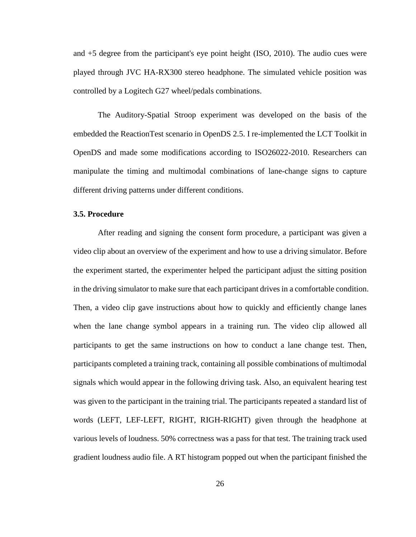and +5 degree from the participant's eye point height (ISO, 2010). The audio cues were played through JVC HA-RX300 stereo headphone. The simulated vehicle position was controlled by a Logitech G27 wheel/pedals combinations.

The Auditory-Spatial Stroop experiment was developed on the basis of the embedded the ReactionTest scenario in OpenDS 2.5. I re-implemented the LCT Toolkit in OpenDS and made some modifications according to ISO26022-2010. Researchers can manipulate the timing and multimodal combinations of lane-change signs to capture different driving patterns under different conditions.

#### <span id="page-26-0"></span>**3.5. Procedure**

After reading and signing the consent form procedure, a participant was given a video clip about an overview of the experiment and how to use a driving simulator. Before the experiment started, the experimenter helped the participant adjust the sitting position in the driving simulator to make sure that each participant drives in a comfortable condition. Then, a video clip gave instructions about how to quickly and efficiently change lanes when the lane change symbol appears in a training run. The video clip allowed all participants to get the same instructions on how to conduct a lane change test. Then, participants completed a training track, containing all possible combinations of multimodal signals which would appear in the following driving task. Also, an equivalent hearing test was given to the participant in the training trial. The participants repeated a standard list of words (LEFT, LEF-LEFT, RIGHT, RIGH-RIGHT) given through the headphone at various levels of loudness. 50% correctness was a pass for that test. The training track used gradient loudness audio file. A RT histogram popped out when the participant finished the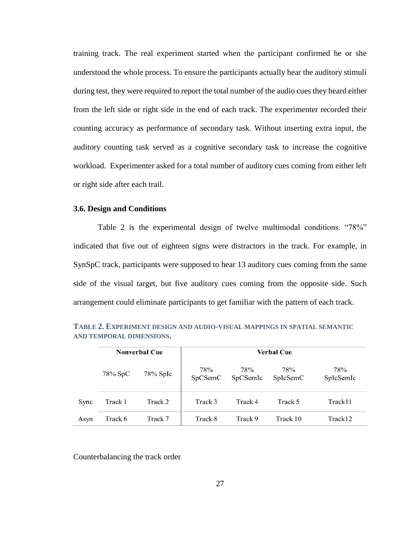training track. The real experiment started when the participant confirmed he or she understood the whole process. To ensure the participants actually hear the auditory stimuli during test, they were required to report the total number of the audio cues they heard either from the left side or right side in the end of each track. The experimenter recorded their counting accuracy as performance of secondary task. Without inserting extra input, the auditory counting task served as a cognitive secondary task to increase the cognitive workload. Experimenter asked for a total number of auditory cues coming from either left or right side after each trail.

## <span id="page-27-0"></span>**3.6. Design and Conditions**

Table 2 is the experimental design of twelve multimodal conditions. "78%" indicated that five out of eighteen signs were distractors in the track. For example, in SynSpC track, participants were supposed to hear 13 auditory cues coming from the same side of the visual target, but five auditory cues coming from the opposite side. Such arrangement could eliminate participants to get familiar with the pattern of each track.

|      |            | <b>Nonverbal Cue</b> | <b>Verbal Cue</b> |                 |                 |                  |  |  |
|------|------------|----------------------|-------------------|-----------------|-----------------|------------------|--|--|
|      | $78\%$ SpC | $78\%$ SpIc          | 78%<br>SpCSemC    | 78%<br>SpCSemIc | 78%<br>SpIcSemC | 78%<br>SpIcSemIc |  |  |
| Sync | Track 1    | Track 2              | Track 3           | Track 4         | Track 5         | Track11          |  |  |
| Asyn | Track 6    | Track 7              | Track 8           | Track 9         | Track 10        | Track12          |  |  |

**TABLE 2. EXPERIMENT DESIGN AND AUDIO-VISUAL MAPPINGS IN SPATIAL SEMANTIC AND TEMPORAL DIMENSIONS.**

Counterbalancing the track order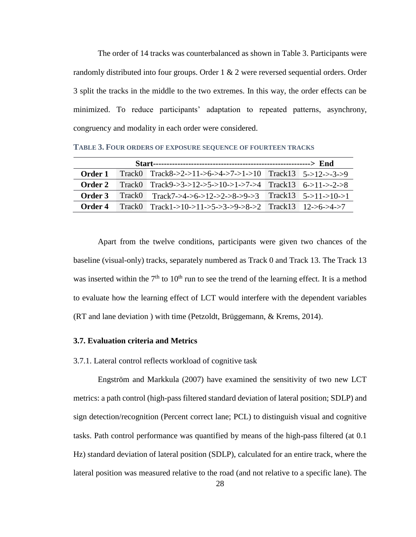The order of 14 tracks was counterbalanced as shown in Table 3. Participants were randomly distributed into four groups. Order 1 & 2 were reversed sequential orders. Order 3 split the tracks in the middle to the two extremes. In this way, the order effects can be minimized. To reduce participants' adaptation to repeated patterns, asynchrony, congruency and modality in each order were considered.

**TABLE 3. FOUR ORDERS OF EXPOSURE SEQUENCE OF FOURTEEN TRACKS**

| Order 1 |  | Track0 Track8->2->11->6->4->7->1->10 Track13 5->12->-3->9 |  |  |
|---------|--|-----------------------------------------------------------|--|--|
| Order 2 |  | Track0 Track9->3->12->5->10->1->7->4 Track13 6->11->-2->8 |  |  |
| Order 3 |  | Track0 Track7->4->6->12->2->8->9->3 Track13 5->11->10->1  |  |  |
| Order 4 |  | Track0 Track1->10->11->5->3->9->8->2 Track13 12->6->4->7  |  |  |

Apart from the twelve conditions, participants were given two chances of the baseline (visual-only) tracks, separately numbered as Track 0 and Track 13. The Track 13 was inserted within the  $7<sup>th</sup>$  to  $10<sup>th</sup>$  run to see the trend of the learning effect. It is a method to evaluate how the learning effect of LCT would interfere with the dependent variables (RT and lane deviation ) with time (Petzoldt, Brüggemann, & Krems, 2014).

#### <span id="page-28-0"></span>**3.7. Evaluation criteria and Metrics**

<span id="page-28-1"></span>3.7.1. Lateral control reflects workload of cognitive task

Engström and Markkula (2007) have examined the sensitivity of two new LCT metrics: a path control (high-pass filtered standard deviation of lateral position; SDLP) and sign detection/recognition (Percent correct lane; PCL) to distinguish visual and cognitive tasks. Path control performance was quantified by means of the high-pass filtered (at 0.1 Hz) standard deviation of lateral position (SDLP), calculated for an entire track, where the lateral position was measured relative to the road (and not relative to a specific lane). The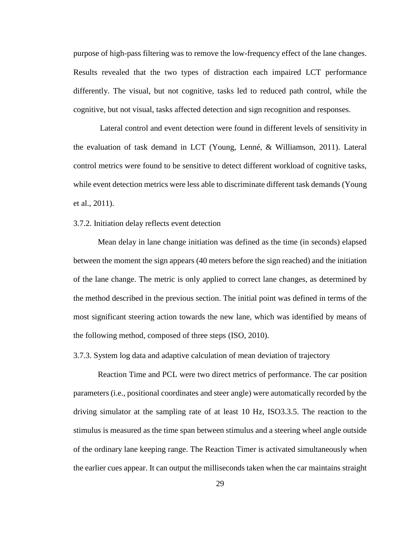purpose of high-pass filtering was to remove the low-frequency effect of the lane changes. Results revealed that the two types of distraction each impaired LCT performance differently. The visual, but not cognitive, tasks led to reduced path control, while the cognitive, but not visual, tasks affected detection and sign recognition and responses.

Lateral control and event detection were found in different levels of sensitivity in the evaluation of task demand in LCT (Young, Lenné, & Williamson, 2011). Lateral control metrics were found to be sensitive to detect different workload of cognitive tasks, while event detection metrics were less able to discriminate different task demands (Young et al., 2011).

#### <span id="page-29-0"></span>3.7.2. Initiation delay reflects event detection

Mean delay in lane change initiation was defined as the time (in seconds) elapsed between the moment the sign appears (40 meters before the sign reached) and the initiation of the lane change. The metric is only applied to correct lane changes, as determined by the method described in the previous section. The initial point was defined in terms of the most significant steering action towards the new lane, which was identified by means of the following method, composed of three steps (ISO, 2010).

<span id="page-29-1"></span>3.7.3. System log data and adaptive calculation of mean deviation of trajectory

Reaction Time and PCL were two direct metrics of performance. The car position parameters (i.e., positional coordinates and steer angle) were automatically recorded by the driving simulator at the sampling rate of at least 10 Hz, ISO3.3.5. The reaction to the stimulus is measured as the time span between stimulus and a steering wheel angle outside of the ordinary lane keeping range. The Reaction Timer is activated simultaneously when the earlier cues appear. It can output the milliseconds taken when the car maintains straight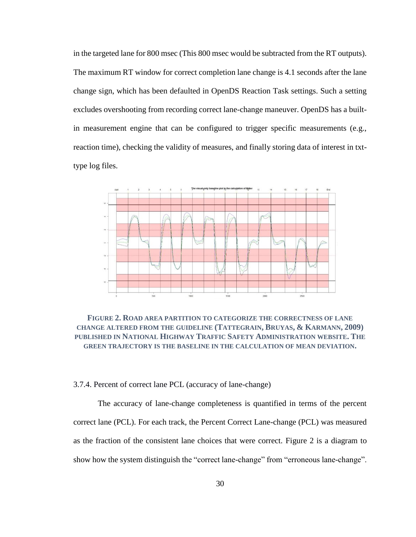in the targeted lane for 800 msec (This 800 msec would be subtracted from the RT outputs). The maximum RT window for correct completion lane change is 4.1 seconds after the lane change sign, which has been defaulted in OpenDS Reaction Task settings. Such a setting excludes overshooting from recording correct lane-change maneuver. OpenDS has a builtin measurement engine that can be configured to trigger specific measurements (e.g., reaction time), checking the validity of measures, and finally storing data of interest in txttype log files.



**FIGURE 2. ROAD AREA PARTITION TO CATEGORIZE THE CORRECTNESS OF LANE CHANGE ALTERED FROM THE GUIDELINE (TATTEGRAIN, BRUYAS, & KARMANN, 2009) PUBLISHED IN NATIONAL HIGHWAY TRAFFIC SAFETY ADMINISTRATION WEBSITE. THE GREEN TRAJECTORY IS THE BASELINE IN THE CALCULATION OF MEAN DEVIATION.**

#### <span id="page-30-0"></span>3.7.4. Percent of correct lane PCL (accuracy of lane-change)

The accuracy of lane-change completeness is quantified in terms of the percent correct lane (PCL). For each track, the Percent Correct Lane-change (PCL) was measured as the fraction of the consistent lane choices that were correct. Figure 2 is a diagram to show how the system distinguish the "correct lane-change" from "erroneous lane-change".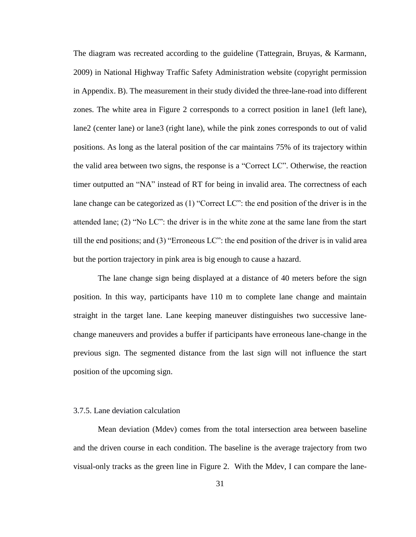The diagram was recreated according to the guideline (Tattegrain, Bruyas, & Karmann, 2009) in National Highway Traffic Safety Administration website (copyright permission in Appendix. B). The measurement in their study divided the three-lane-road into different zones. The white area in Figure 2 corresponds to a correct position in lane1 (left lane), lane2 (center lane) or lane3 (right lane), while the pink zones corresponds to out of valid positions. As long as the lateral position of the car maintains 75% of its trajectory within the valid area between two signs, the response is a "Correct LC". Otherwise, the reaction timer outputted an "NA" instead of RT for being in invalid area. The correctness of each lane change can be categorized as (1) "Correct LC": the end position of the driver is in the attended lane; (2) "No LC": the driver is in the white zone at the same lane from the start till the end positions; and (3) "Erroneous LC": the end position of the driver is in valid area but the portion trajectory in pink area is big enough to cause a hazard.

The lane change sign being displayed at a distance of 40 meters before the sign position. In this way, participants have 110 m to complete lane change and maintain straight in the target lane. Lane keeping maneuver distinguishes two successive lanechange maneuvers and provides a buffer if participants have erroneous lane-change in the previous sign. The segmented distance from the last sign will not influence the start position of the upcoming sign.

#### <span id="page-31-0"></span>3.7.5. Lane deviation calculation

Mean deviation (Mdev) comes from the total intersection area between baseline and the driven course in each condition. The baseline is the average trajectory from two visual-only tracks as the green line in Figure 2. With the Mdev, I can compare the lane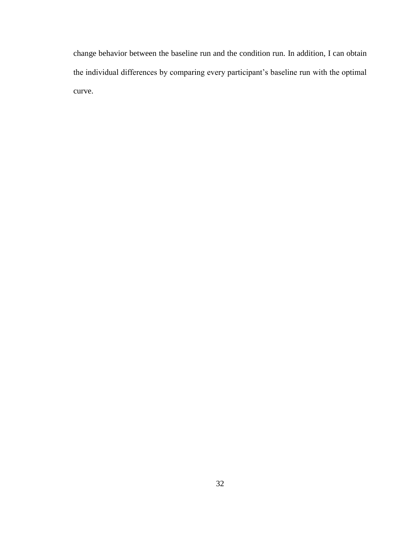change behavior between the baseline run and the condition run. In addition, I can obtain the individual differences by comparing every participant's baseline run with the optimal curve.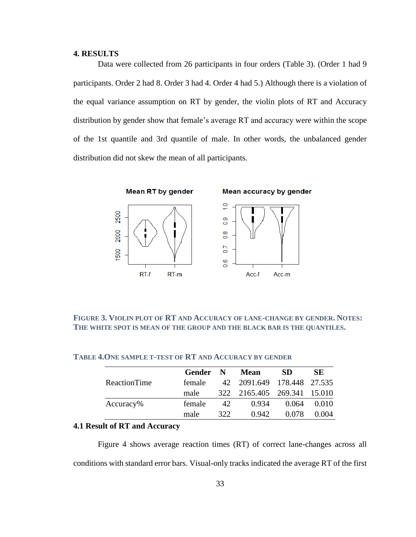#### <span id="page-33-0"></span>**4. RESULTS**

Data were collected from 26 participants in four orders (Table 3). (Order 1 had 9 participants. Order 2 had 8. Order 3 had 4. Order 4 had 5.) Although there is a violation of the equal variance assumption on RT by gender, the violin plots of RT and Accuracy distribution by gender show that female's average RT and accuracy were within the scope of the 1st quantile and 3rd quantile of male. In other words, the unbalanced gender distribution did not skew the mean of all participants.



**FIGURE 3. VIOLIN PLOT OF RT AND ACCURACY OF LANE-CHANGE BY GENDER. NOTES: THE WHITE SPOT IS MEAN OF THE GROUP AND THE BLACK BAR IS THE QUANTILES.**

|              | Gender | N   | Mean                        | SD.   | SE.   |
|--------------|--------|-----|-----------------------------|-------|-------|
| ReactionTime | female |     | 42 2091.649 178.448 27.535  |       |       |
|              | male   |     | 322 2165.405 269.341 15.010 |       |       |
| Accuracy%    | female | 42. | 0.934                       | 0.064 | 0.010 |
|              | male   | 322 | 0.942                       | 0.078 | 0.004 |

#### **TABLE 4.ONE SAMPLE T-TEST OF RT AND ACCURACY BY GENDER**

#### <span id="page-33-1"></span>**4.1 Result of RT and Accuracy**

Figure 4 shows average reaction times (RT) of correct lane-changes across all conditions with standard error bars. Visual-only tracks indicated the average RT of the first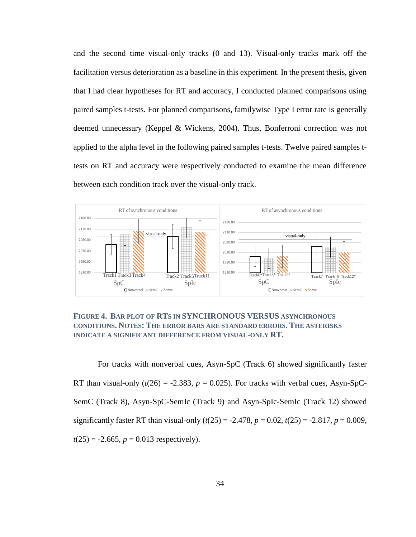and the second time visual-only tracks (0 and 13). Visual-only tracks mark off the facilitation versus deterioration as a baseline in this experiment. In the present thesis, given that I had clear hypotheses for RT and accuracy, I conducted planned comparisons using paired samples t-tests. For planned comparisons, familywise Type I error rate is generally deemed unnecessary (Keppel & Wickens, 2004). Thus, Bonferroni correction was not applied to the alpha level in the following paired samples t-tests. Twelve paired samples ttests on RT and accuracy were respectively conducted to examine the mean difference between each condition track over the visual-only track.



### **FIGURE 4. BAR PLOT OF RTS IN SYNCHRONOUS VERSUS ASYNCHRONOUS CONDITIONS. NOTES: THE ERROR BARS ARE STANDARD ERRORS. THE ASTERISKS INDICATE A SIGNIFICANT DIFFERENCE FROM VISUAL-ONLY RT.**

For tracks with nonverbal cues, Asyn-SpC (Track 6) showed significantly faster RT than visual-only  $(t(26) = -2.383, p = 0.025)$ . For tracks with verbal cues, Asyn-SpC-SemC (Track 8), Asyn-SpC-SemIc (Track 9) and Asyn-SpIc-SemIc (Track 12) showed significantly faster RT than visual-only  $(t(25) = -2.478, p = 0.02, t(25) = -2.817, p = 0.009$ ,  $t(25) = -2.665$ ,  $p = 0.013$  respectively).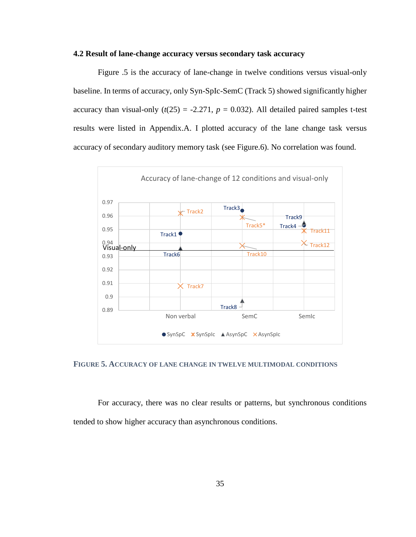#### <span id="page-35-0"></span>**4.2 Result of lane-change accuracy versus secondary task accuracy**

Figure .5 is the accuracy of lane-change in twelve conditions versus visual-only baseline. In terms of accuracy, only Syn-SpIc-SemC (Track 5) showed significantly higher accuracy than visual-only  $(t(25) = -2.271, p = 0.032)$ . All detailed paired samples t-test results were listed in Appendix.A. I plotted accuracy of the lane change task versus accuracy of secondary auditory memory task (see Figure.6). No correlation was found.



#### **FIGURE 5. ACCURACY OF LANE CHANGE IN TWELVE MULTIMODAL CONDITIONS**

For accuracy, there was no clear results or patterns, but synchronous conditions tended to show higher accuracy than asynchronous conditions.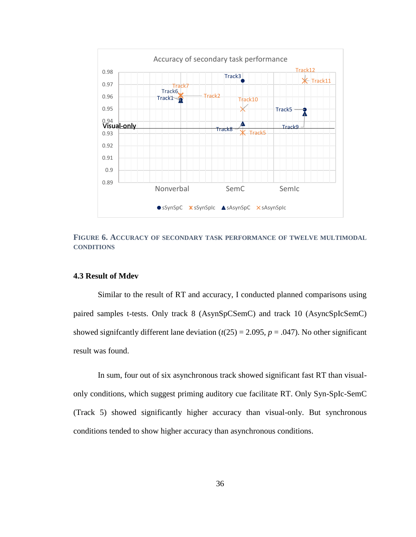

**FIGURE 6. ACCURACY OF SECONDARY TASK PERFORMANCE OF TWELVE MULTIMODAL CONDITIONS**

## <span id="page-36-0"></span>**4.3 Result of Mdev**

Similar to the result of RT and accuracy, I conducted planned comparisons using paired samples t-tests. Only track 8 (AsynSpCSemC) and track 10 (AsyncSpIcSemC) showed significantly different lane deviation  $(t(25) = 2.095, p = .047)$ . No other significant result was found.

In sum, four out of six asynchronous track showed significant fast RT than visualonly conditions, which suggest priming auditory cue facilitate RT. Only Syn-SpIc-SemC (Track 5) showed significantly higher accuracy than visual-only. But synchronous conditions tended to show higher accuracy than asynchronous conditions.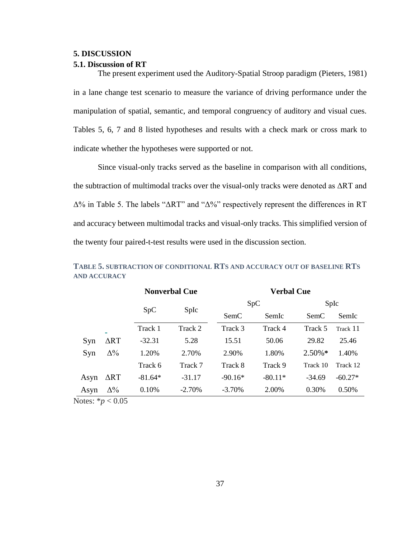#### <span id="page-37-0"></span>**5. DISCUSSION**

#### <span id="page-37-1"></span>**5.1. Discussion of RT**

The present experiment used the Auditory-Spatial Stroop paradigm (Pieters, 1981) in a lane change test scenario to measure the variance of driving performance under the manipulation of spatial, semantic, and temporal congruency of auditory and visual cues. Tables 5, 6, 7 and 8 listed hypotheses and results with a check mark or cross mark to indicate whether the hypotheses were supported or not.

Since visual-only tracks served as the baseline in comparison with all conditions, the subtraction of multimodal tracks over the visual-only tracks were denoted as ΔRT and Δ% in Table 5. The labels "ΔRT" and "Δ%" respectively represent the differences in RT and accuracy between multimodal tracks and visual-only tracks. This simplified version of the twenty four paired-t-test results were used in the discussion section.

|             |                      |           | <b>Nonverbal Cue</b> | <b>Verbal Cue</b> |           |           |           |
|-------------|----------------------|-----------|----------------------|-------------------|-----------|-----------|-----------|
|             |                      |           |                      |                   | SpC       |           | SpIc      |
|             |                      | SpC       | SpIc                 | SemC              | SemIc     | SemC      | SemIc     |
|             | $\equiv$             | Track 1   | Track 2              | Track 3           | Track 4   | Track 5   | Track 11  |
| Syn         | $\Delta \mathrm{RT}$ | $-32.31$  | 5.28                 | 15.51             | 50.06     | 29.82     | 25.46     |
| Syn         | $\Delta\%$           | 1.20%     | 2.70%                | 2.90%             | 1.80%     | $2.50\%*$ | 1.40%     |
|             |                      | Track 6   | Track 7              | Track 8           | Track 9   | Track 10  | Track 12  |
| Asyn        | $\Delta RT$          | $-81.64*$ | $-31.17$             | $-90.16*$         | $-80.11*$ | $-34.69$  | $-60.27*$ |
| Asyn        | $\Delta\%$           | 0.10%     | $-2.70%$             | $-3.70%$          | 2.00%     | 0.30%     | 0.50%     |
| <b>™™</b> " |                      |           |                      |                   |           |           |           |

**TABLE 5. SUBTRACTION OF CONDITIONAL RTS AND ACCURACY OUT OF BASELINE RTS AND ACCURACY**

Notes:  $*_{p}$  < 0.05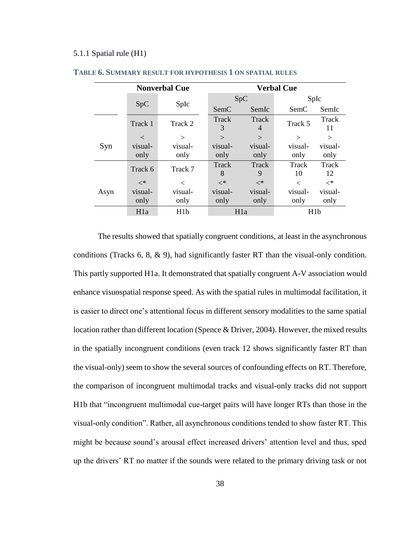#### <span id="page-38-0"></span>5.1.1 Spatial rule (H1)

|      |                  | <b>Nonverbal Cue</b> | <b>Verbal Cue</b> |                  |             |             |  |  |
|------|------------------|----------------------|-------------------|------------------|-------------|-------------|--|--|
|      |                  |                      |                   | SpC              | SpIc        |             |  |  |
|      | SpC              | SpIc                 | SemC              | SemIc            | SemC        | SemIc       |  |  |
|      | Track 1          | Track 2              | Track<br>3        | Track<br>4       | Track 5     | Track<br>11 |  |  |
|      | $\lt$            | $\rm{>}$             | $\rm{>}$          | $\gt$            | $\gt$       | >           |  |  |
| Syn  | visual-          | visual-              | visual-           | visual-          | visual-     | visual-     |  |  |
|      | only             | only                 | only              | only             | only        | only        |  |  |
|      | Track 6          | Track 7              | Track<br>8        | Track<br>9       | Track<br>10 | Track<br>12 |  |  |
|      | $<^*$            | $\,<\,$              | $<^*$             | $<^*$            | $\,<\,$     | $<^*$       |  |  |
| Asyn | visual-          | visual-              | visual-           | visual-          | visual-     | visual-     |  |  |
|      | only             | only                 | only              | only             | only        | only        |  |  |
|      | H <sub>1</sub> a | H <sub>1</sub> b     |                   | H <sub>1</sub> a | H1b         |             |  |  |

#### **TABLE 6. SUMMARY RESULT FOR HYPOTHESIS 1 ON SPATIAL RULES**

The results showed that spatially congruent conditions, at least in the asynchronous conditions (Tracks 6, 8, & 9), had significantly faster RT than the visual-only condition. This partly supported H1a. It demonstrated that spatially congruent A-V association would enhance visuospatial response speed. As with the spatial rules in multimodal facilitation, it is easier to direct one's attentional focus in different sensory modalities to the same spatial location rather than different location (Spence & Driver, 2004). However, the mixed results in the spatially incongruent conditions (even track 12 shows significantly faster RT than the visual-only) seem to show the several sources of confounding effects on RT. Therefore, the comparison of incongruent multimodal tracks and visual-only tracks did not support H1b that "incongruent multimodal cue-target pairs will have longer RTs than those in the visual-only condition". Rather, all asynchronous conditions tended to show faster RT. This might be because sound's arousal effect increased drivers' attention level and thus, sped up the drivers' RT no matter if the sounds were related to the primary driving task or not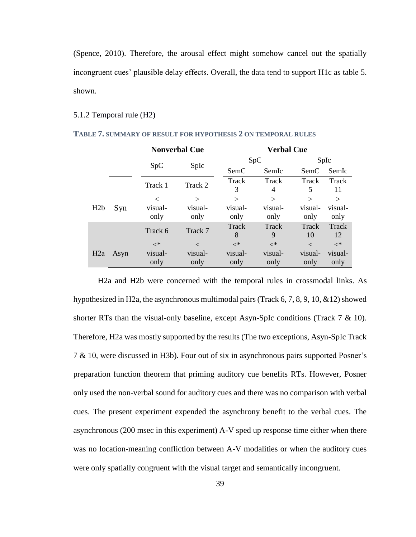(Spence, 2010). Therefore, the arousal effect might somehow cancel out the spatially incongruent cues' plausible delay effects. Overall, the data tend to support H1c as table 5. shown.

#### <span id="page-39-0"></span>5.1.2 Temporal rule (H2)

|     |      |         | <b>Nonverbal Cue</b> | <b>Verbal Cue</b> |                |         |         |  |
|-----|------|---------|----------------------|-------------------|----------------|---------|---------|--|
|     |      |         |                      |                   | SpC            |         | SpIc    |  |
|     |      | SpC     | SpIc                 | SemC              | SemIc          | SemC    | SemIc   |  |
|     |      | Track 1 | Track 2              | Track             | Track          | Track   | Track   |  |
|     |      |         |                      | 3                 | $\overline{4}$ | 5       | 11      |  |
|     |      | $\,<\,$ | $\gt$                | $\rm{>}$          | $\gt$          | $\geq$  | $\geq$  |  |
| H2b | Syn  | visual- | visual-              | visual-           | visual-        | visual- | visual- |  |
|     |      | only    | only                 | only              | only           | only    | only    |  |
|     |      | Track 6 | Track 7              | Track             | Track          | Track   | Track   |  |
|     |      |         |                      | 8                 | 9              | 10      | 12      |  |
|     |      | $<^*$   | $\,<\,$              | $<^*$             | $<^*$          | $\,<\,$ | $<^*$   |  |
| H2a | Asyn | visual- | visual-              | visual-           | visual-        | visual- | visual- |  |
|     |      | only    | only                 | only              | only           | only    | only    |  |

**TABLE 7. SUMMARY OF RESULT FOR HYPOTHESIS 2 ON TEMPORAL RULES**

H2a and H2b were concerned with the temporal rules in crossmodal links. As hypothesized in H2a, the asynchronous multimodal pairs (Track  $6, 7, 8, 9, 10, \&12$ ) showed shorter RTs than the visual-only baseline, except Asyn-SpIc conditions (Track 7 & 10). Therefore, H2a was mostly supported by the results (The two exceptions, Asyn-SpIc Track 7 & 10, were discussed in H3b). Four out of six in asynchronous pairs supported Posner's preparation function theorem that priming auditory cue benefits RTs. However, Posner only used the non-verbal sound for auditory cues and there was no comparison with verbal cues. The present experiment expended the asynchrony benefit to the verbal cues. The asynchronous (200 msec in this experiment) A-V sped up response time either when there was no location-meaning confliction between A-V modalities or when the auditory cues were only spatially congruent with the visual target and semantically incongruent.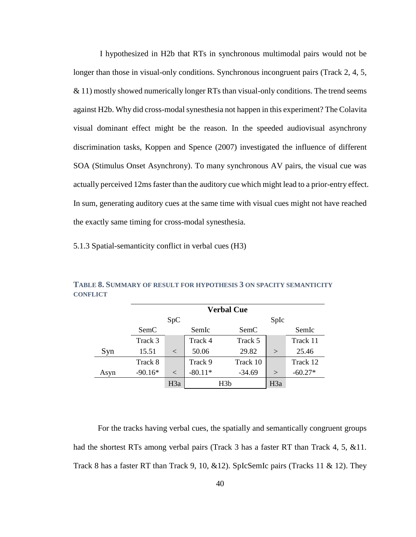I hypothesized in H2b that RTs in synchronous multimodal pairs would not be longer than those in visual-only conditions. Synchronous incongruent pairs (Track 2, 4, 5, & 11) mostly showed numerically longer RTs than visual-only conditions. The trend seems against H2b. Why did cross-modal synesthesia not happen in this experiment? The Colavita visual dominant effect might be the reason. In the speeded audiovisual asynchrony discrimination tasks, Koppen and Spence (2007) investigated the influence of different SOA (Stimulus Onset Asynchrony). To many synchronous AV pairs, the visual cue was actually perceived 12ms faster than the auditory cue which might lead to a prior-entry effect. In sum, generating auditory cues at the same time with visual cues might not have reached the exactly same timing for cross-modal synesthesia.

<span id="page-40-0"></span>5.1.3 Spatial-semanticity conflict in verbal cues (H3)

|      | <b>Verbal Cue</b> |                  |           |          |        |           |  |  |  |
|------|-------------------|------------------|-----------|----------|--------|-----------|--|--|--|
|      |                   | SpC              |           | SpIc     |        |           |  |  |  |
|      | SemC              |                  | SemIc     | SemC     |        | SemIc     |  |  |  |
|      | Track 3           |                  | Track 4   | Track 5  |        | Track 11  |  |  |  |
| Syn  | 15.51             | $\lt$            | 50.06     | 29.82    | $\geq$ | 25.46     |  |  |  |
|      | Track 8           |                  | Track 9   | Track 10 |        | Track 12  |  |  |  |
| Asyn | $-90.16*$         | $\,<\,$          | $-80.11*$ | $-34.69$ | $\geq$ | $-60.27*$ |  |  |  |
|      |                   | H <sub>3</sub> a | H3b       |          | H3a    |           |  |  |  |

**TABLE 8. SUMMARY OF RESULT FOR HYPOTHESIS 3 ON SPACITY SEMANTICITY CONFLICT**

For the tracks having verbal cues, the spatially and semantically congruent groups had the shortest RTs among verbal pairs (Track 3 has a faster RT than Track 4, 5, &11. Track 8 has a faster RT than Track 9, 10,  $&12$ ). SpIcSemIc pairs (Tracks 11  $&$  12). They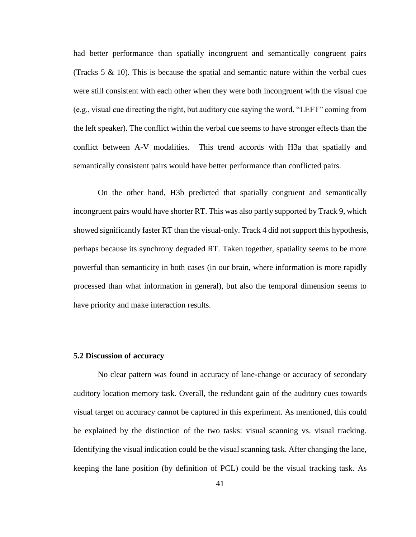had better performance than spatially incongruent and semantically congruent pairs (Tracks  $5 \& 10$ ). This is because the spatial and semantic nature within the verbal cues were still consistent with each other when they were both incongruent with the visual cue (e.g., visual cue directing the right, but auditory cue saying the word, "LEFT" coming from the left speaker). The conflict within the verbal cue seems to have stronger effects than the conflict between A-V modalities. This trend accords with H3a that spatially and semantically consistent pairs would have better performance than conflicted pairs.

On the other hand, H3b predicted that spatially congruent and semantically incongruent pairs would have shorter RT. This was also partly supported by Track 9, which showed significantly faster RT than the visual-only. Track 4 did not support this hypothesis, perhaps because its synchrony degraded RT. Taken together, spatiality seems to be more powerful than semanticity in both cases (in our brain, where information is more rapidly processed than what information in general), but also the temporal dimension seems to have priority and make interaction results.

# <span id="page-41-0"></span>**5.2 Discussion of accuracy**

No clear pattern was found in accuracy of lane-change or accuracy of secondary auditory location memory task. Overall, the redundant gain of the auditory cues towards visual target on accuracy cannot be captured in this experiment. As mentioned, this could be explained by the distinction of the two tasks: visual scanning vs. visual tracking. Identifying the visual indication could be the visual scanning task. After changing the lane, keeping the lane position (by definition of PCL) could be the visual tracking task. As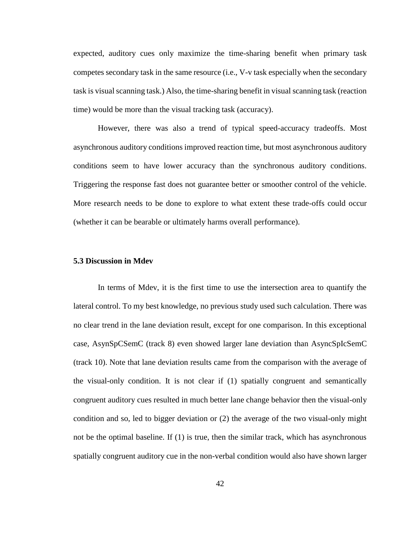expected, auditory cues only maximize the time-sharing benefit when primary task competes secondary task in the same resource (i.e., V-v task especially when the secondary task is visual scanning task.) Also, the time-sharing benefit in visual scanning task (reaction time) would be more than the visual tracking task (accuracy).

However, there was also a trend of typical speed-accuracy tradeoffs. Most asynchronous auditory conditions improved reaction time, but most asynchronous auditory conditions seem to have lower accuracy than the synchronous auditory conditions. Triggering the response fast does not guarantee better or smoother control of the vehicle. More research needs to be done to explore to what extent these trade-offs could occur (whether it can be bearable or ultimately harms overall performance).

#### <span id="page-42-0"></span>**5.3 Discussion in Mdev**

In terms of Mdev, it is the first time to use the intersection area to quantify the lateral control. To my best knowledge, no previous study used such calculation. There was no clear trend in the lane deviation result, except for one comparison. In this exceptional case, AsynSpCSemC (track 8) even showed larger lane deviation than AsyncSpIcSemC (track 10). Note that lane deviation results came from the comparison with the average of the visual-only condition. It is not clear if (1) spatially congruent and semantically congruent auditory cues resulted in much better lane change behavior then the visual-only condition and so, led to bigger deviation or (2) the average of the two visual-only might not be the optimal baseline. If (1) is true, then the similar track, which has asynchronous spatially congruent auditory cue in the non-verbal condition would also have shown larger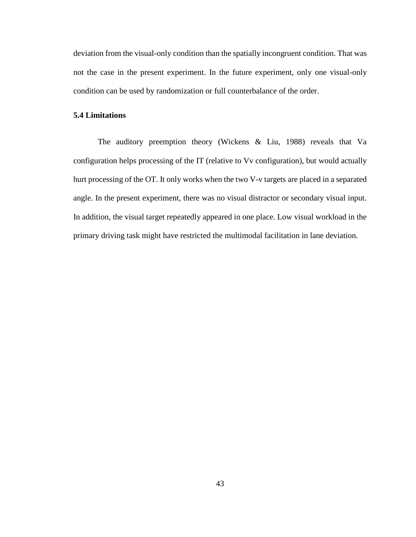deviation from the visual-only condition than the spatially incongruent condition. That was not the case in the present experiment. In the future experiment, only one visual-only condition can be used by randomization or full counterbalance of the order.

## <span id="page-43-0"></span>**5.4 Limitations**

The auditory preemption theory (Wickens & Liu, 1988) reveals that Va configuration helps processing of the IT (relative to Vv configuration), but would actually hurt processing of the OT. It only works when the two V-v targets are placed in a separated angle. In the present experiment, there was no visual distractor or secondary visual input. In addition, the visual target repeatedly appeared in one place. Low visual workload in the primary driving task might have restricted the multimodal facilitation in lane deviation.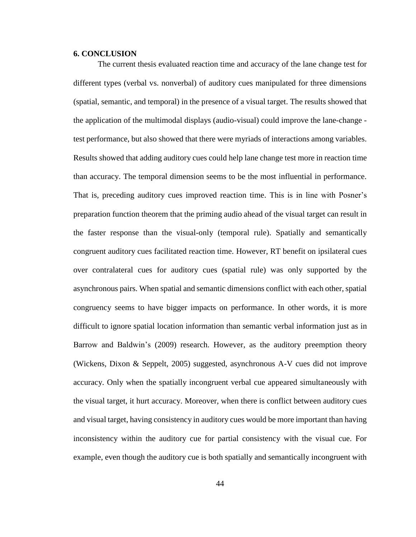#### <span id="page-44-0"></span>**6. CONCLUSION**

The current thesis evaluated reaction time and accuracy of the lane change test for different types (verbal vs. nonverbal) of auditory cues manipulated for three dimensions (spatial, semantic, and temporal) in the presence of a visual target. The results showed that the application of the multimodal displays (audio-visual) could improve the lane-change test performance, but also showed that there were myriads of interactions among variables. Results showed that adding auditory cues could help lane change test more in reaction time than accuracy. The temporal dimension seems to be the most influential in performance. That is, preceding auditory cues improved reaction time. This is in line with Posner's preparation function theorem that the priming audio ahead of the visual target can result in the faster response than the visual-only (temporal rule). Spatially and semantically congruent auditory cues facilitated reaction time. However, RT benefit on ipsilateral cues over contralateral cues for auditory cues (spatial rule) was only supported by the asynchronous pairs. When spatial and semantic dimensions conflict with each other, spatial congruency seems to have bigger impacts on performance. In other words, it is more difficult to ignore spatial location information than semantic verbal information just as in Barrow and Baldwin's (2009) research. However, as the auditory preemption theory (Wickens, Dixon & Seppelt, 2005) suggested, asynchronous A-V cues did not improve accuracy. Only when the spatially incongruent verbal cue appeared simultaneously with the visual target, it hurt accuracy. Moreover, when there is conflict between auditory cues and visual target, having consistency in auditory cues would be more important than having inconsistency within the auditory cue for partial consistency with the visual cue. For example, even though the auditory cue is both spatially and semantically incongruent with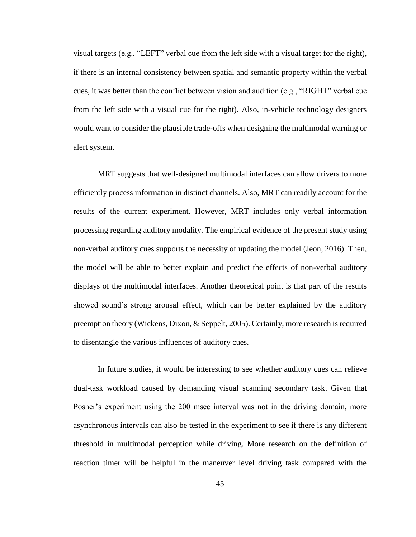visual targets (e.g., "LEFT" verbal cue from the left side with a visual target for the right), if there is an internal consistency between spatial and semantic property within the verbal cues, it was better than the conflict between vision and audition (e.g., "RIGHT" verbal cue from the left side with a visual cue for the right). Also, in-vehicle technology designers would want to consider the plausible trade-offs when designing the multimodal warning or alert system.

MRT suggests that well-designed multimodal interfaces can allow drivers to more efficiently process information in distinct channels. Also, MRT can readily account for the results of the current experiment. However, MRT includes only verbal information processing regarding auditory modality. The empirical evidence of the present study using non-verbal auditory cues supports the necessity of updating the model (Jeon, 2016). Then, the model will be able to better explain and predict the effects of non-verbal auditory displays of the multimodal interfaces. Another theoretical point is that part of the results showed sound's strong arousal effect, which can be better explained by the auditory preemption theory (Wickens, Dixon, & Seppelt, 2005). Certainly, more research is required to disentangle the various influences of auditory cues.

In future studies, it would be interesting to see whether auditory cues can relieve dual-task workload caused by demanding visual scanning secondary task. Given that Posner's experiment using the 200 msec interval was not in the driving domain, more asynchronous intervals can also be tested in the experiment to see if there is any different threshold in multimodal perception while driving. More research on the definition of reaction timer will be helpful in the maneuver level driving task compared with the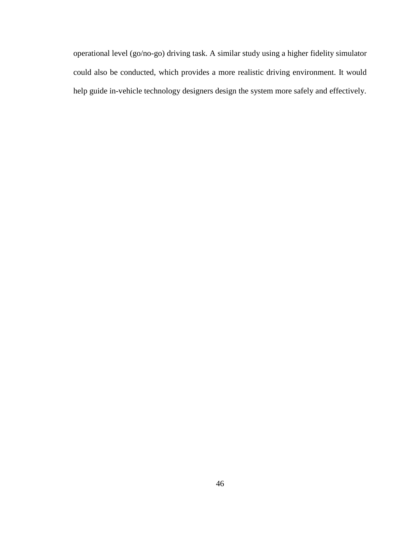operational level (go/no-go) driving task. A similar study using a higher fidelity simulator could also be conducted, which provides a more realistic driving environment. It would help guide in-vehicle technology designers design the system more safely and effectively.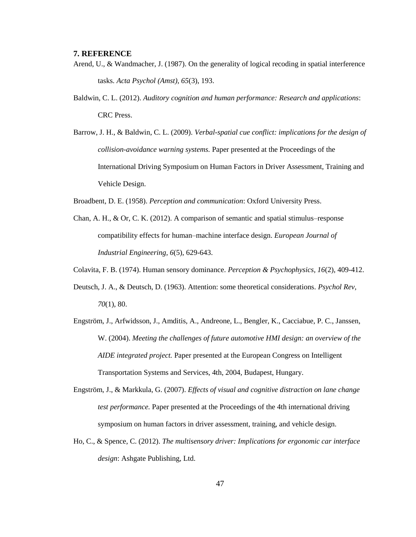#### <span id="page-47-0"></span>**7. REFERENCE**

- Arend, U., & Wandmacher, J. (1987). On the generality of logical recoding in spatial interference tasks. *Acta Psychol (Amst), 65*(3), 193.
- Baldwin, C. L. (2012). *Auditory cognition and human performance: Research and applications*: CRC Press.
- Barrow, J. H., & Baldwin, C. L. (2009). *Verbal-spatial cue conflict: implications for the design of collision-avoidance warning systems.* Paper presented at the Proceedings of the International Driving Symposium on Human Factors in Driver Assessment, Training and Vehicle Design.
- Broadbent, D. E. (1958). *Perception and communication*: Oxford University Press.
- Chan, A. H., & Or, C. K. (2012). A comparison of semantic and spatial stimulus–response compatibility effects for human–machine interface design. *European Journal of Industrial Engineering, 6*(5), 629-643.
- Colavita, F. B. (1974). Human sensory dominance. *Perception & Psychophysics, 16*(2), 409-412.
- Deutsch, J. A., & Deutsch, D. (1963). Attention: some theoretical considerations. *Psychol Rev, 70*(1), 80.
- Engström, J., Arfwidsson, J., Amditis, A., Andreone, L., Bengler, K., Cacciabue, P. C., Janssen, W. (2004). *Meeting the challenges of future automotive HMI design: an overview of the AIDE integrated project.* Paper presented at the European Congress on Intelligent Transportation Systems and Services, 4th, 2004, Budapest, Hungary.
- Engström, J., & Markkula, G. (2007). *Effects of visual and cognitive distraction on lane change test performance.* Paper presented at the Proceedings of the 4th international driving symposium on human factors in driver assessment, training, and vehicle design.
- Ho, C., & Spence, C. (2012). *The multisensory driver: Implications for ergonomic car interface design*: Ashgate Publishing, Ltd.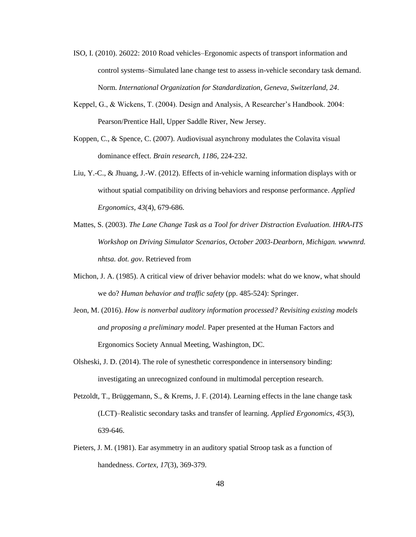- ISO, I. (2010). 26022: 2010 Road vehicles–Ergonomic aspects of transport information and control systems–Simulated lane change test to assess in-vehicle secondary task demand. Norm. *International Organization for Standardization, Geneva, Switzerland, 24*.
- Keppel, G., & Wickens, T. (2004). Design and Analysis, A Researcher's Handbook. 2004: Pearson/Prentice Hall, Upper Saddle River, New Jersey.
- Koppen, C., & Spence, C. (2007). Audiovisual asynchrony modulates the Colavita visual dominance effect. *Brain research, 1186*, 224-232.
- Liu, Y.-C., & Jhuang, J.-W. (2012). Effects of in-vehicle warning information displays with or without spatial compatibility on driving behaviors and response performance. *Applied Ergonomics, 43*(4), 679-686.
- Mattes, S. (2003). *The Lane Change Task as a Tool for driver Distraction Evaluation. IHRA-ITS Workshop on Driving Simulator Scenarios, October 2003-Dearborn, Michigan. wwwnrd. nhtsa. dot. gov*. Retrieved from
- Michon, J. A. (1985). A critical view of driver behavior models: what do we know, what should we do? *Human behavior and traffic safety* (pp. 485-524): Springer.
- Jeon, M. (2016). *How is nonverbal auditory information processed? Revisiting existing models and proposing a preliminary model.* Paper presented at the Human Factors and Ergonomics Society Annual Meeting, Washington, DC.
- Olsheski, J. D. (2014). The role of synesthetic correspondence in intersensory binding: investigating an unrecognized confound in multimodal perception research.
- Petzoldt, T., Brüggemann, S., & Krems, J. F. (2014). Learning effects in the lane change task (LCT)–Realistic secondary tasks and transfer of learning. *Applied Ergonomics, 45*(3), 639-646.
- Pieters, J. M. (1981). Ear asymmetry in an auditory spatial Stroop task as a function of handedness. *Cortex, 17*(3), 369-379.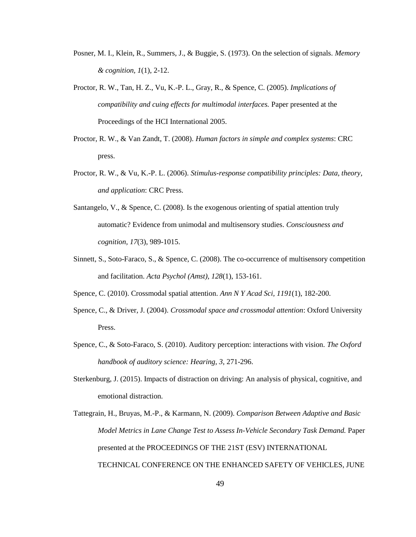- Posner, M. I., Klein, R., Summers, J., & Buggie, S. (1973). On the selection of signals. *Memory & cognition, 1*(1), 2-12.
- Proctor, R. W., Tan, H. Z., Vu, K.-P. L., Gray, R., & Spence, C. (2005). *Implications of compatibility and cuing effects for multimodal interfaces.* Paper presented at the Proceedings of the HCI International 2005.
- Proctor, R. W., & Van Zandt, T. (2008). *Human factors in simple and complex systems*: CRC press.
- Proctor, R. W., & Vu, K.-P. L. (2006). *Stimulus-response compatibility principles: Data, theory, and application*: CRC Press.
- Santangelo, V., & Spence, C. (2008). Is the exogenous orienting of spatial attention truly automatic? Evidence from unimodal and multisensory studies. *Consciousness and cognition, 17*(3), 989-1015.
- Sinnett, S., Soto-Faraco, S., & Spence, C. (2008). The co-occurrence of multisensory competition and facilitation. *Acta Psychol (Amst), 128*(1), 153-161.
- Spence, C. (2010). Crossmodal spatial attention. *Ann N Y Acad Sci, 1191*(1), 182-200.
- Spence, C., & Driver, J. (2004). *Crossmodal space and crossmodal attention*: Oxford University Press.
- Spence, C., & Soto-Faraco, S. (2010). Auditory perception: interactions with vision. *The Oxford handbook of auditory science: Hearing, 3*, 271-296.
- Sterkenburg, J. (2015). Impacts of distraction on driving: An analysis of physical, cognitive, and emotional distraction.
- Tattegrain, H., Bruyas, M.-P., & Karmann, N. (2009). *Comparison Between Adaptive and Basic Model Metrics in Lane Change Test to Assess In-Vehicle Secondary Task Demand.* Paper presented at the PROCEEDINGS OF THE 21ST (ESV) INTERNATIONAL TECHNICAL CONFERENCE ON THE ENHANCED SAFETY OF VEHICLES, JUNE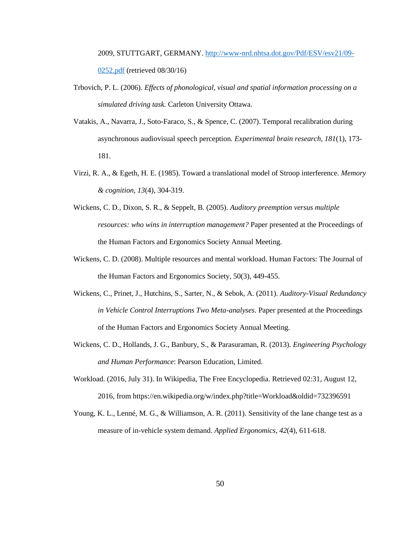2009, STUTTGART, GERMANY. [http://www-nrd.nhtsa.dot.gov/Pdf/ESV/esv21/09-](http://www-nrd.nhtsa.dot.gov/Pdf/ESV/esv21/09-0252.pdf) [0252.pdf](http://www-nrd.nhtsa.dot.gov/Pdf/ESV/esv21/09-0252.pdf) (retrieved 08/30/16)

- Trbovich, P. L. (2006). *Effects of phonological, visual and spatial information processing on a simulated driving task.* Carleton University Ottawa.
- Vatakis, A., Navarra, J., Soto-Faraco, S., & Spence, C. (2007). Temporal recalibration during asynchronous audiovisual speech perception. *Experimental brain research, 181*(1), 173- 181.
- Virzi, R. A., & Egeth, H. E. (1985). Toward a translational model of Stroop interference. *Memory & cognition, 13*(4), 304-319.
- Wickens, C. D., Dixon, S. R., & Seppelt, B. (2005). *Auditory preemption versus multiple resources: who wins in interruption management?* Paper presented at the Proceedings of the Human Factors and Ergonomics Society Annual Meeting.
- Wickens, C. D. (2008). Multiple resources and mental workload. Human Factors: The Journal of the Human Factors and Ergonomics Society, 50(3), 449-455.
- Wickens, C., Prinet, J., Hutchins, S., Sarter, N., & Sebok, A. (2011). *Auditory-Visual Redundancy in Vehicle Control Interruptions Two Meta-analyses.* Paper presented at the Proceedings of the Human Factors and Ergonomics Society Annual Meeting.
- Wickens, C. D., Hollands, J. G., Banbury, S., & Parasuraman, R. (2013). *Engineering Psychology and Human Performance*: Pearson Education, Limited.
- Workload. (2016, July 31). In Wikipedia, The Free Encyclopedia. Retrieved 02:31, August 12, 2016, from https://en.wikipedia.org/w/index.php?title=Workload&oldid=732396591
- Young, K. L., Lenné, M. G., & Williamson, A. R. (2011). Sensitivity of the lane change test as a measure of in-vehicle system demand. *Applied Ergonomics, 42*(4), 611-618.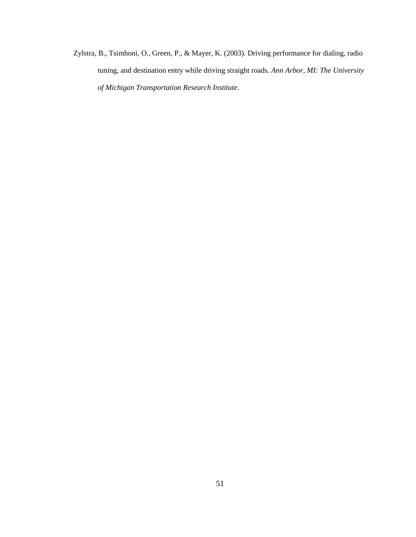Zylstra, B., Tsimhoni, O., Green, P., & Mayer, K. (2003). Driving performance for dialing, radio tuning, and destination entry while driving straight roads. *Ann Arbor, MI: The University of Michigan Transportation Research Institute*.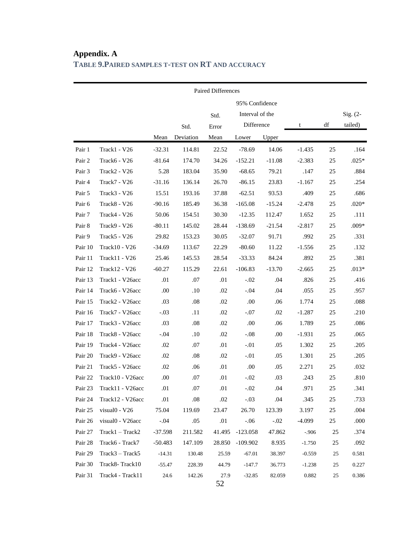|         | Paired Differences |           |           |        |                 |          |          |    |                       |  |
|---------|--------------------|-----------|-----------|--------|-----------------|----------|----------|----|-----------------------|--|
|         |                    |           |           |        | 95% Confidence  |          |          |    |                       |  |
|         |                    |           |           | Std.   | Interval of the |          |          |    |                       |  |
|         |                    |           | Std.      | Error  | Difference      |          | t        | df | $Sig. (2-$<br>tailed) |  |
|         |                    | Mean      | Deviation | Mean   | Lower           | Upper    |          |    |                       |  |
| Pair 1  | Track1 - V26       | $-32.31$  | 114.81    | 22.52  | $-78.69$        | 14.06    | $-1.435$ | 25 | .164                  |  |
| Pair 2  | Track6 - V26       | $-81.64$  | 174.70    | 34.26  | $-152.21$       | $-11.08$ | $-2.383$ | 25 | $.025*$               |  |
| Pair 3  | Track2 - V26       | 5.28      | 183.04    | 35.90  | $-68.65$        | 79.21    | .147     | 25 | .884                  |  |
| Pair 4  | Track7 - V26       | $-31.16$  | 136.14    | 26.70  | $-86.15$        | 23.83    | $-1.167$ | 25 | .254                  |  |
| Pair 5  | Track3 - V26       | 15.51     | 193.16    | 37.88  | $-62.51$        | 93.53    | .409     | 25 | .686                  |  |
| Pair 6  | Track8 - V26       | $-90.16$  | 185.49    | 36.38  | $-165.08$       | $-15.24$ | $-2.478$ | 25 | $.020*$               |  |
| Pair 7  | Track4 - V26       | 50.06     | 154.51    | 30.30  | $-12.35$        | 112.47   | 1.652    | 25 | .111                  |  |
| Pair 8  | Track9 - V26       | $-80.11$  | 145.02    | 28.44  | $-138.69$       | $-21.54$ | $-2.817$ | 25 | $.009*$               |  |
| Pair 9  | Track5 - V26       | 29.82     | 153.23    | 30.05  | $-32.07$        | 91.71    | .992     | 25 | .331                  |  |
| Pair 10 | Track10 - V26      | $-34.69$  | 113.67    | 22.29  | $-80.60$        | 11.22    | $-1.556$ | 25 | .132                  |  |
| Pair 11 | Track11 - V26      | 25.46     | 145.53    | 28.54  | $-33.33$        | 84.24    | .892     | 25 | .381                  |  |
| Pair 12 | Track12 - V26      | $-60.27$  | 115.29    | 22.61  | $-106.83$       | $-13.70$ | $-2.665$ | 25 | $.013*$               |  |
| Pair 13 | Track1 - V26acc    | .01       | .07       | .01    | $-.02$          | .04      | .826     | 25 | .416                  |  |
| Pair 14 | Track6 - V26acc    | .00.      | .10       | .02    | $-.04$          | .04      | .055     | 25 | .957                  |  |
| Pair 15 | Track2 - V26acc    | .03       | .08       | .02    | .00.            | .06      | 1.774    | 25 | .088                  |  |
| Pair 16 | Track7 - V26acc    | $-.03$    | .11       | .02    | $-.07$          | .02      | $-1.287$ | 25 | .210                  |  |
| Pair 17 | Track3 - V26acc    | .03       | .08       | .02    | .00.            | .06      | 1.789    | 25 | .086                  |  |
| Pair 18 | Track8 - V26acc    | $-.04$    | .10       | .02    | $-.08$          | .00.     | $-1.931$ | 25 | .065                  |  |
| Pair 19 | Track4 - V26acc    | .02       | .07       | .01    | $-.01$          | .05      | 1.302    | 25 | .205                  |  |
| Pair 20 | Track9 - V26acc    | .02       | .08       | .02    | $-.01$          | .05      | 1.301    | 25 | .205                  |  |
| Pair 21 | Track5 - V26acc    | .02       | .06       | .01    | .00.            | .05      | 2.271    | 25 | .032                  |  |
| Pair 22 | Track10 - V26acc   | .00.      | .07       | .01    | $-.02$          | .03      | .243     | 25 | .810                  |  |
| Pair 23 | Track11 - V26acc   | .01       | .07       | .01    | $-.02$          | .04      | .971     | 25 | .341                  |  |
| Pair 24 | Track12 - V26acc   | .01       | $.08\,$   | .02    | $-.03$          | .04      | .345     | 25 | .733                  |  |
| Pair 25 | visual0 - V26      | 75.04     | 119.69    | 23.47  | 26.70           | 123.39   | 3.197    | 25 | .004                  |  |
| Pair 26 | visual0 - V26acc   | $-.04$    | .05       | .01    | $-.06$          | $-.02$   | $-4.099$ | 25 | .000                  |  |
| Pair 27 | $Track1 - Track2$  | $-37.598$ | 211.582   | 41.495 | $-123.058$      | 47.862   | $-.906$  | 25 | .374                  |  |
| Pair 28 | Track6 - Track7    | $-50.483$ | 147.109   | 28.850 | $-109.902$      | 8.935    | $-1.750$ | 25 | .092                  |  |
| Pair 29 | $Track3 - Track5$  | $-14.31$  | 130.48    | 25.59  | $-67.01$        | 38.397   | $-0.559$ | 25 | 0.581                 |  |
| Pair 30 | Track8-Track10     | $-55.47$  | 228.39    | 44.79  | $-147.7$        | 36.773   | $-1.238$ | 25 | 0.227                 |  |
| Pair 31 | Track4 - Track11   | 24.6      | 142.26    | 27.9   | $-32.85$        | 82.059   | 0.882    | 25 | 0.386                 |  |

# <span id="page-52-0"></span>**Appendix. A TABLE 9.PAIRED SAMPLES T-TEST ON RT AND ACCURACY**

52